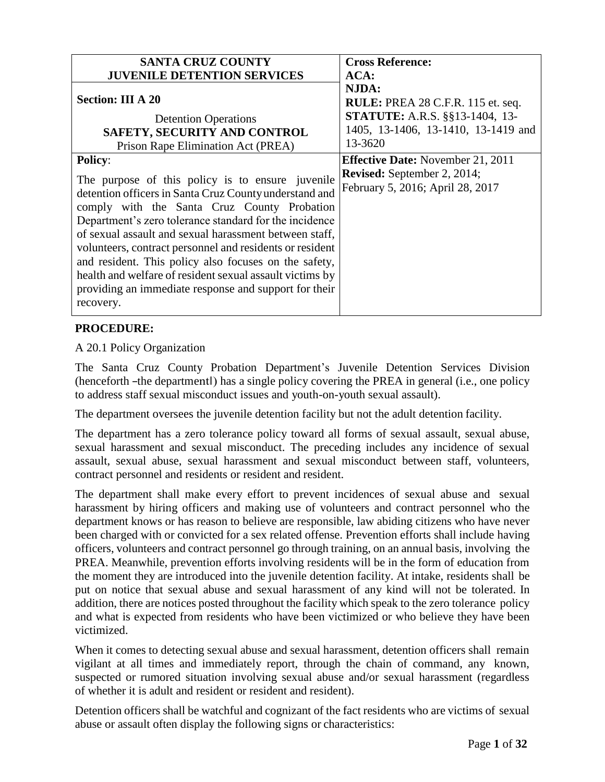| <b>SANTA CRUZ COUNTY</b><br><b>JUVENILE DETENTION SERVICES</b>                                                                                                                                                                                                                                                                                                                                                                                                                                                                                         | <b>Cross Reference:</b><br>ACA:                                                                                                              |
|--------------------------------------------------------------------------------------------------------------------------------------------------------------------------------------------------------------------------------------------------------------------------------------------------------------------------------------------------------------------------------------------------------------------------------------------------------------------------------------------------------------------------------------------------------|----------------------------------------------------------------------------------------------------------------------------------------------|
| <b>Section: III A 20</b><br><b>Detention Operations</b><br>SAFETY, SECURITY AND CONTROL<br>Prison Rape Elimination Act (PREA)                                                                                                                                                                                                                                                                                                                                                                                                                          | NJDA:<br><b>RULE: PREA 28 C.F.R. 115 et. seq.</b><br><b>STATUTE:</b> A.R.S. §§13-1404, 13-<br>1405, 13-1406, 13-1410, 13-1419 and<br>13-3620 |
| <b>Policy:</b><br>The purpose of this policy is to ensure juvenile<br>detention officers in Santa Cruz County understand and<br>comply with the Santa Cruz County Probation<br>Department's zero tolerance standard for the incidence<br>of sexual assault and sexual harassment between staff,<br>volunteers, contract personnel and residents or resident<br>and resident. This policy also focuses on the safety,<br>health and welfare of resident sexual assault victims by<br>providing an immediate response and support for their<br>recovery. | <b>Effective Date:</b> November 21, 2011<br><b>Revised:</b> September 2, 2014;<br>February 5, 2016; April 28, 2017                           |

# **PROCEDURE:**

A 20.1 Policy Organization

The Santa Cruz County Probation Department's Juvenile Detention Services Division (henceforth ―the department‖) has a single policy covering the PREA in general (i.e., one policy to address staff sexual misconduct issues and youth-on-youth sexual assault).

The department oversees the juvenile detention facility but not the adult detention facility.

The department has a zero tolerance policy toward all forms of sexual assault, sexual abuse, sexual harassment and sexual misconduct. The preceding includes any incidence of sexual assault, sexual abuse, sexual harassment and sexual misconduct between staff, volunteers, contract personnel and residents or resident and resident.

The department shall make every effort to prevent incidences of sexual abuse and sexual harassment by hiring officers and making use of volunteers and contract personnel who the department knows or has reason to believe are responsible, law abiding citizens who have never been charged with or convicted for a sex related offense. Prevention efforts shall include having officers, volunteers and contract personnel go through training, on an annual basis, involving the PREA. Meanwhile, prevention efforts involving residents will be in the form of education from the moment they are introduced into the juvenile detention facility. At intake, residents shall be put on notice that sexual abuse and sexual harassment of any kind will not be tolerated. In addition, there are notices posted throughout the facility which speak to the zero tolerance policy and what is expected from residents who have been victimized or who believe they have been victimized.

When it comes to detecting sexual abuse and sexual harassment, detention officers shall remain vigilant at all times and immediately report, through the chain of command, any known, suspected or rumored situation involving sexual abuse and/or sexual harassment (regardless of whether it is adult and resident or resident and resident).

Detention officers shall be watchful and cognizant of the fact residents who are victims of sexual abuse or assault often display the following signs or characteristics: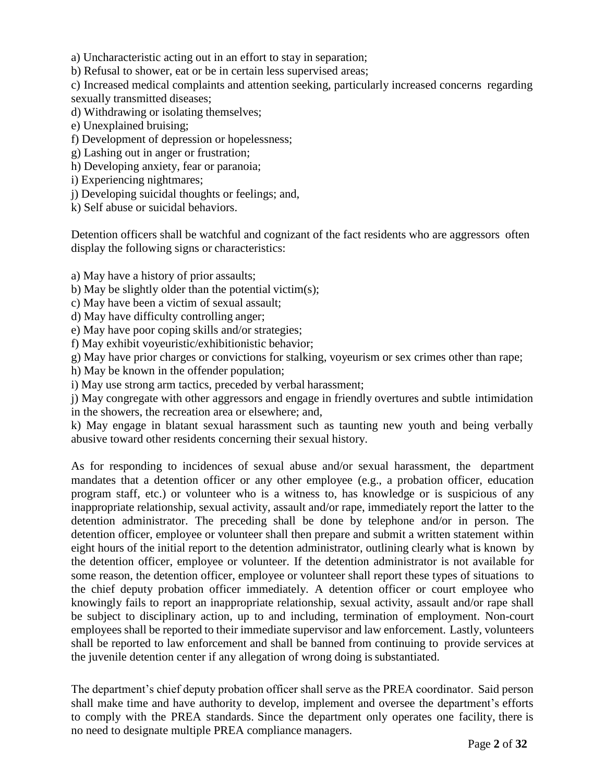a) Uncharacteristic acting out in an effort to stay in separation;

b) Refusal to shower, eat or be in certain less supervised areas;

c) Increased medical complaints and attention seeking, particularly increased concerns regarding sexually transmitted diseases;

d) Withdrawing or isolating themselves;

e) Unexplained bruising;

f) Development of depression or hopelessness;

g) Lashing out in anger or frustration;

h) Developing anxiety, fear or paranoia;

i) Experiencing nightmares;

j) Developing suicidal thoughts or feelings; and,

k) Self abuse or suicidal behaviors.

Detention officers shall be watchful and cognizant of the fact residents who are aggressors often display the following signs or characteristics:

a) May have a history of prior assaults;

b) May be slightly older than the potential victim(s);

c) May have been a victim of sexual assault;

d) May have difficulty controlling anger;

e) May have poor coping skills and/or strategies;

f) May exhibit voyeuristic/exhibitionistic behavior;

g) May have prior charges or convictions for stalking, voyeurism or sex crimes other than rape;

h) May be known in the offender population;

i) May use strong arm tactics, preceded by verbal harassment;

j) May congregate with other aggressors and engage in friendly overtures and subtle intimidation in the showers, the recreation area or elsewhere; and,

k) May engage in blatant sexual harassment such as taunting new youth and being verbally abusive toward other residents concerning their sexual history.

As for responding to incidences of sexual abuse and/or sexual harassment, the department mandates that a detention officer or any other employee (e.g., a probation officer, education program staff, etc.) or volunteer who is a witness to, has knowledge or is suspicious of any inappropriate relationship, sexual activity, assault and/or rape, immediately report the latter to the detention administrator. The preceding shall be done by telephone and/or in person. The detention officer, employee or volunteer shall then prepare and submit a written statement within eight hours of the initial report to the detention administrator, outlining clearly what is known by the detention officer, employee or volunteer. If the detention administrator is not available for some reason, the detention officer, employee or volunteer shall report these types of situations to the chief deputy probation officer immediately. A detention officer or court employee who knowingly fails to report an inappropriate relationship, sexual activity, assault and/or rape shall be subject to disciplinary action, up to and including, termination of employment. Non-court employees shall be reported to their immediate supervisor and law enforcement. Lastly, volunteers shall be reported to law enforcement and shall be banned from continuing to provide services at the juvenile detention center if any allegation of wrong doing is substantiated.

The department's chief deputy probation officer shall serve as the PREA coordinator. Said person shall make time and have authority to develop, implement and oversee the department's efforts to comply with the PREA standards. Since the department only operates one facility, there is no need to designate multiple PREA compliance managers.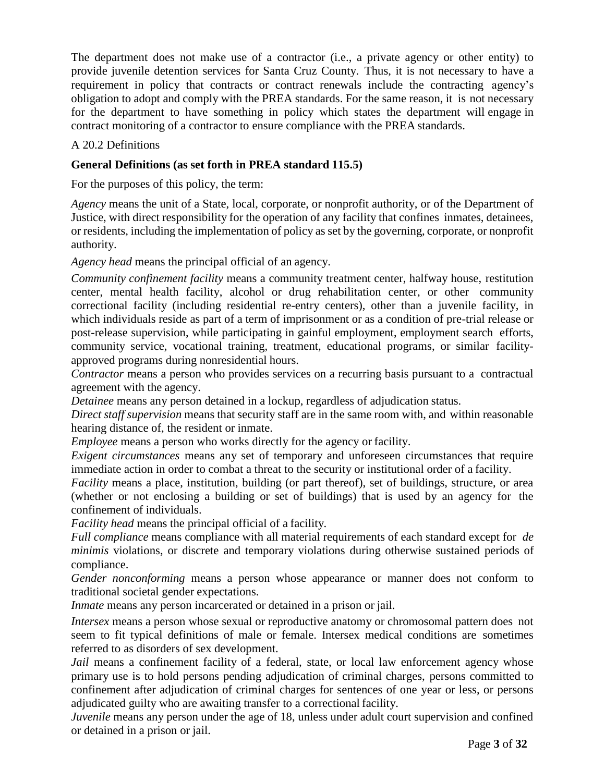The department does not make use of a contractor (i.e., a private agency or other entity) to provide juvenile detention services for Santa Cruz County. Thus, it is not necessary to have a requirement in policy that contracts or contract renewals include the contracting agency's obligation to adopt and comply with the PREA standards. For the same reason, it is not necessary for the department to have something in policy which states the department will engage in contract monitoring of a contractor to ensure compliance with the PREA standards.

# A 20.2 Definitions

## **General Definitions (as set forth in PREA standard 115.5)**

For the purposes of this policy, the term:

*Agency* means the unit of a State, local, corporate, or nonprofit authority, or of the Department of Justice, with direct responsibility for the operation of any facility that confines inmates, detainees, or residents, including the implementation of policy as set by the governing, corporate, or nonprofit authority.

*Agency head* means the principal official of an agency.

*Community confinement facility* means a community treatment center, halfway house, restitution center, mental health facility, alcohol or drug rehabilitation center, or other community correctional facility (including residential re-entry centers), other than a juvenile facility, in which individuals reside as part of a term of imprisonment or as a condition of pre-trial release or post-release supervision, while participating in gainful employment, employment search efforts, community service, vocational training, treatment, educational programs, or similar facilityapproved programs during nonresidential hours.

*Contractor* means a person who provides services on a recurring basis pursuant to a contractual agreement with the agency.

*Detainee* means any person detained in a lockup, regardless of adjudication status.

*Direct staff supervision* means that security staff are in the same room with, and within reasonable hearing distance of, the resident or inmate.

*Employee* means a person who works directly for the agency or facility.

*Exigent circumstances* means any set of temporary and unforeseen circumstances that require immediate action in order to combat a threat to the security or institutional order of a facility.

*Facility* means a place, institution, building (or part thereof), set of buildings, structure, or area (whether or not enclosing a building or set of buildings) that is used by an agency for the confinement of individuals.

*Facility head* means the principal official of a facility.

*Full compliance* means compliance with all material requirements of each standard except for *de minimis* violations, or discrete and temporary violations during otherwise sustained periods of compliance.

*Gender nonconforming* means a person whose appearance or manner does not conform to traditional societal gender expectations.

*Inmate* means any person incarcerated or detained in a prison or jail.

*Intersex* means a person whose sexual or reproductive anatomy or chromosomal pattern does not seem to fit typical definitions of male or female. Intersex medical conditions are sometimes referred to as disorders of sex development.

*Jail* means a confinement facility of a federal, state, or local law enforcement agency whose primary use is to hold persons pending adjudication of criminal charges, persons committed to confinement after adjudication of criminal charges for sentences of one year or less, or persons adjudicated guilty who are awaiting transfer to a correctional facility.

*Juvenile* means any person under the age of 18, unless under adult court supervision and confined or detained in a prison or jail.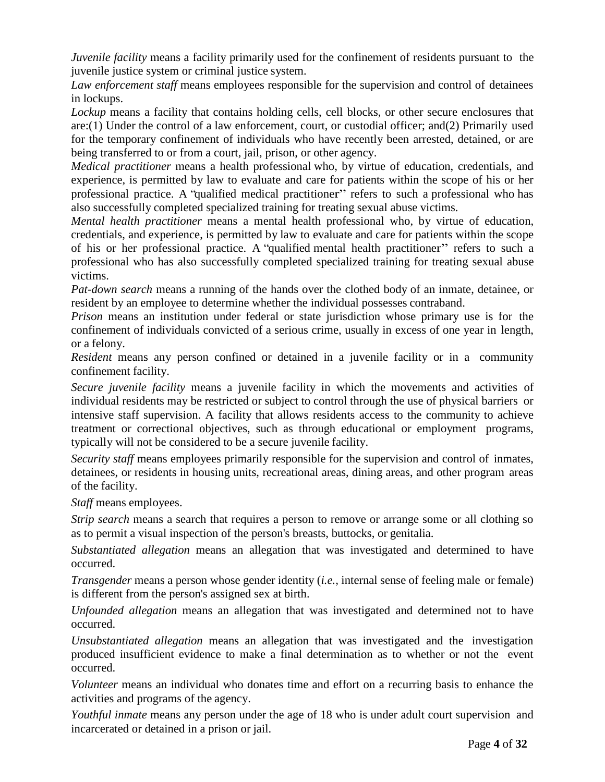*Juvenile facility* means a facility primarily used for the confinement of residents pursuant to the juvenile justice system or criminal justice system.

*Law enforcement staff* means employees responsible for the supervision and control of detainees in lockups.

*Lockup* means a facility that contains holding cells, cell blocks, or other secure enclosures that are:(1) Under the control of a law enforcement, court, or custodial officer; and(2) Primarily used for the temporary confinement of individuals who have recently been arrested, detained, or are being transferred to or from a court, jail, prison, or other agency.

*Medical practitioner* means a health professional who, by virtue of education, credentials, and experience, is permitted by law to evaluate and care for patients within the scope of his or her professional practice. A "qualified medical practitioner" refers to such a professional who has also successfully completed specialized training for treating sexual abuse victims.

*Mental health practitioner* means a mental health professional who, by virtue of education, credentials, and experience, is permitted by law to evaluate and care for patients within the scope of his or her professional practice. A "qualified mental health practitioner" refers to such a professional who has also successfully completed specialized training for treating sexual abuse victims.

*Pat-down search* means a running of the hands over the clothed body of an inmate, detainee, or resident by an employee to determine whether the individual possesses contraband.

*Prison* means an institution under federal or state jurisdiction whose primary use is for the confinement of individuals convicted of a serious crime, usually in excess of one year in length, or a felony.

*Resident* means any person confined or detained in a juvenile facility or in a community confinement facility.

*Secure juvenile facility* means a juvenile facility in which the movements and activities of individual residents may be restricted or subject to control through the use of physical barriers or intensive staff supervision. A facility that allows residents access to the community to achieve treatment or correctional objectives, such as through educational or employment programs, typically will not be considered to be a secure juvenile facility.

*Security staff* means employees primarily responsible for the supervision and control of inmates, detainees, or residents in housing units, recreational areas, dining areas, and other program areas of the facility.

*Staff* means employees.

*Strip search* means a search that requires a person to remove or arrange some or all clothing so as to permit a visual inspection of the person's breasts, buttocks, or genitalia.

*Substantiated allegation* means an allegation that was investigated and determined to have occurred.

*Transgender* means a person whose gender identity (*i.e.,* internal sense of feeling male or female) is different from the person's assigned sex at birth.

*Unfounded allegation* means an allegation that was investigated and determined not to have occurred.

*Unsubstantiated allegation* means an allegation that was investigated and the investigation produced insufficient evidence to make a final determination as to whether or not the event occurred.

*Volunteer* means an individual who donates time and effort on a recurring basis to enhance the activities and programs of the agency.

*Youthful inmate* means any person under the age of 18 who is under adult court supervision and incarcerated or detained in a prison or jail.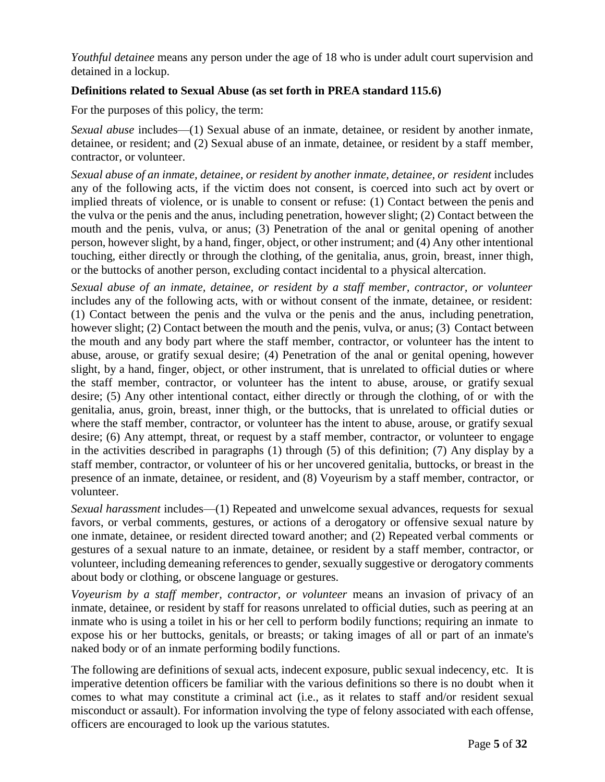*Youthful detainee* means any person under the age of 18 who is under adult court supervision and detained in a lockup.

## **Definitions related to Sexual Abuse (as set forth in PREA standard 115.6)**

For the purposes of this policy, the term:

*Sexual abuse* includes—(1) Sexual abuse of an inmate, detainee, or resident by another inmate, detainee, or resident; and (2) Sexual abuse of an inmate, detainee, or resident by a staff member, contractor, or volunteer.

*Sexual abuse of an inmate, detainee, or resident by another inmate, detainee, or resident* includes any of the following acts, if the victim does not consent, is coerced into such act by overt or implied threats of violence, or is unable to consent or refuse: (1) Contact between the penis and the vulva or the penis and the anus, including penetration, however slight; (2) Contact between the mouth and the penis, vulva, or anus; (3) Penetration of the anal or genital opening of another person, however slight, by a hand, finger, object, or other instrument; and (4) Any other intentional touching, either directly or through the clothing, of the genitalia, anus, groin, breast, inner thigh, or the buttocks of another person, excluding contact incidental to a physical altercation.

*Sexual abuse of an inmate, detainee, or resident by a staff member, contractor, or volunteer* includes any of the following acts, with or without consent of the inmate, detainee, or resident: (1) Contact between the penis and the vulva or the penis and the anus, including penetration, however slight; (2) Contact between the mouth and the penis, vulva, or anus; (3) Contact between the mouth and any body part where the staff member, contractor, or volunteer has the intent to abuse, arouse, or gratify sexual desire; (4) Penetration of the anal or genital opening, however slight, by a hand, finger, object, or other instrument, that is unrelated to official duties or where the staff member, contractor, or volunteer has the intent to abuse, arouse, or gratify sexual desire; (5) Any other intentional contact, either directly or through the clothing, of or with the genitalia, anus, groin, breast, inner thigh, or the buttocks, that is unrelated to official duties or where the staff member, contractor, or volunteer has the intent to abuse, arouse, or gratify sexual desire; (6) Any attempt, threat, or request by a staff member, contractor, or volunteer to engage in the activities described in paragraphs (1) through (5) of this definition; (7) Any display by a staff member, contractor, or volunteer of his or her uncovered genitalia, buttocks, or breast in the presence of an inmate, detainee, or resident, and (8) Voyeurism by a staff member, contractor, or volunteer.

*Sexual harassment* includes—(1) Repeated and unwelcome sexual advances, requests for sexual favors, or verbal comments, gestures, or actions of a derogatory or offensive sexual nature by one inmate, detainee, or resident directed toward another; and (2) Repeated verbal comments or gestures of a sexual nature to an inmate, detainee, or resident by a staff member, contractor, or volunteer, including demeaning references to gender, sexually suggestive or derogatory comments about body or clothing, or obscene language or gestures.

*Voyeurism by a staff member, contractor, or volunteer* means an invasion of privacy of an inmate, detainee, or resident by staff for reasons unrelated to official duties, such as peering at an inmate who is using a toilet in his or her cell to perform bodily functions; requiring an inmate to expose his or her buttocks, genitals, or breasts; or taking images of all or part of an inmate's naked body or of an inmate performing bodily functions.

The following are definitions of sexual acts, indecent exposure, public sexual indecency, etc. It is imperative detention officers be familiar with the various definitions so there is no doubt when it comes to what may constitute a criminal act (i.e., as it relates to staff and/or resident sexual misconduct or assault). For information involving the type of felony associated with each offense, officers are encouraged to look up the various statutes.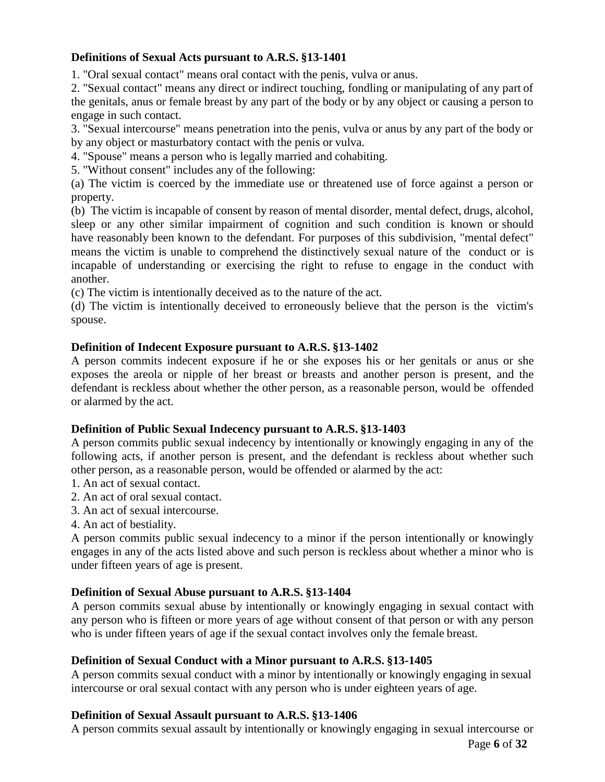# **Definitions of Sexual Acts pursuant to A.R.S. §13-1401**

1. "Oral sexual contact" means oral contact with the penis, vulva or anus.

2. "Sexual contact" means any direct or indirect touching, fondling or manipulating of any part of the genitals, anus or female breast by any part of the body or by any object or causing a person to engage in such contact.

3. "Sexual intercourse" means penetration into the penis, vulva or anus by any part of the body or by any object or masturbatory contact with the penis or vulva.

4. "Spouse" means a person who is legally married and cohabiting.

5. "Without consent" includes any of the following:

(a) The victim is coerced by the immediate use or threatened use of force against a person or property.

(b) The victim is incapable of consent by reason of mental disorder, mental defect, drugs, alcohol, sleep or any other similar impairment of cognition and such condition is known or should have reasonably been known to the defendant. For purposes of this subdivision, "mental defect" means the victim is unable to comprehend the distinctively sexual nature of the conduct or is incapable of understanding or exercising the right to refuse to engage in the conduct with another.

(c) The victim is intentionally deceived as to the nature of the act.

(d) The victim is intentionally deceived to erroneously believe that the person is the victim's spouse.

# **Definition of Indecent Exposure pursuant to A.R.S. §13-1402**

A person commits indecent exposure if he or she exposes his or her genitals or anus or she exposes the areola or nipple of her breast or breasts and another person is present, and the defendant is reckless about whether the other person, as a reasonable person, would be offended or alarmed by the act.

# **Definition of Public Sexual Indecency pursuant to A.R.S. §13-1403**

A person commits public sexual indecency by intentionally or knowingly engaging in any of the following acts, if another person is present, and the defendant is reckless about whether such other person, as a reasonable person, would be offended or alarmed by the act:

- 1. An act of sexual contact.
- 2. An act of oral sexual contact.
- 3. An act of sexual intercourse.
- 4. An act of bestiality.

A person commits public sexual indecency to a minor if the person intentionally or knowingly engages in any of the acts listed above and such person is reckless about whether a minor who is under fifteen years of age is present.

# **Definition of Sexual Abuse pursuant to A.R.S. §13-1404**

A person commits sexual abuse by intentionally or knowingly engaging in sexual contact with any person who is fifteen or more years of age without consent of that person or with any person who is under fifteen years of age if the sexual contact involves only the female breast.

# **Definition of Sexual Conduct with a Minor pursuant to A.R.S. §13-1405**

A person commits sexual conduct with a minor by intentionally or knowingly engaging in sexual intercourse or oral sexual contact with any person who is under eighteen years of age.

# **Definition of Sexual Assault pursuant to A.R.S. §13-1406**

A person commits sexual assault by intentionally or knowingly engaging in sexual intercourse or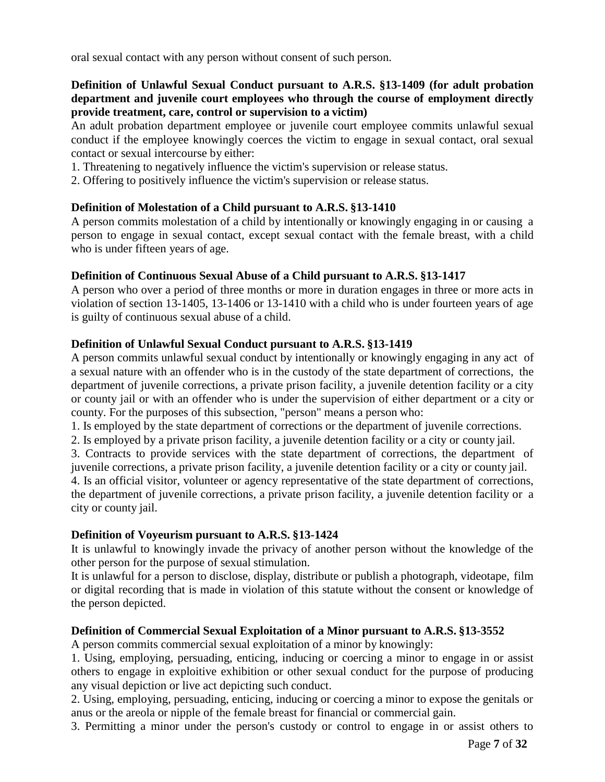oral sexual contact with any person without consent of such person.

## **Definition of Unlawful Sexual Conduct pursuant to A.R.S. §13-1409 (for adult probation department and juvenile court employees who through the course of employment directly provide treatment, care, control or supervision to a victim)**

An adult probation department employee or juvenile court employee commits unlawful sexual conduct if the employee knowingly coerces the victim to engage in sexual contact, oral sexual contact or sexual intercourse by either:

- 1. Threatening to negatively influence the victim's supervision or release status.
- 2. Offering to positively influence the victim's supervision or release status.

## **Definition of Molestation of a Child pursuant to A.R.S. §13-1410**

A person commits molestation of a child by intentionally or knowingly engaging in or causing a person to engage in sexual contact, except sexual contact with the female breast, with a child who is under fifteen years of age.

## **Definition of Continuous Sexual Abuse of a Child pursuant to A.R.S. §13-1417**

A person who over a period of three months or more in duration engages in three or more acts in violation of section 13-1405, 13-1406 or 13-1410 with a child who is under fourteen years of age is guilty of continuous sexual abuse of a child.

## **Definition of Unlawful Sexual Conduct pursuant to A.R.S. §13-1419**

A person commits unlawful sexual conduct by intentionally or knowingly engaging in any act of a sexual nature with an offender who is in the custody of the state department of corrections, the department of juvenile corrections, a private prison facility, a juvenile detention facility or a city or county jail or with an offender who is under the supervision of either department or a city or county. For the purposes of this subsection, "person" means a person who:

1. Is employed by the state department of corrections or the department of juvenile corrections.

2. Is employed by a private prison facility, a juvenile detention facility or a city or county jail.

3. Contracts to provide services with the state department of corrections, the department of juvenile corrections, a private prison facility, a juvenile detention facility or a city or county jail.

4. Is an official visitor, volunteer or agency representative of the state department of corrections, the department of juvenile corrections, a private prison facility, a juvenile detention facility or a city or county jail.

#### **Definition of Voyeurism pursuant to A.R.S. §13-1424**

It is unlawful to knowingly invade the privacy of another person without the knowledge of the other person for the purpose of sexual stimulation.

It is unlawful for a person to disclose, display, distribute or publish a photograph, videotape, film or digital recording that is made in violation of this statute without the consent or knowledge of the person depicted.

# **Definition of Commercial Sexual Exploitation of a Minor pursuant to A.R.S. §13-3552**

A person commits commercial sexual exploitation of a minor by knowingly:

1. Using, employing, persuading, enticing, inducing or coercing a minor to engage in or assist others to engage in exploitive exhibition or other sexual conduct for the purpose of producing any visual depiction or live act depicting such conduct.

2. Using, employing, persuading, enticing, inducing or coercing a minor to expose the genitals or anus or the areola or nipple of the female breast for financial or commercial gain.

3. Permitting a minor under the person's custody or control to engage in or assist others to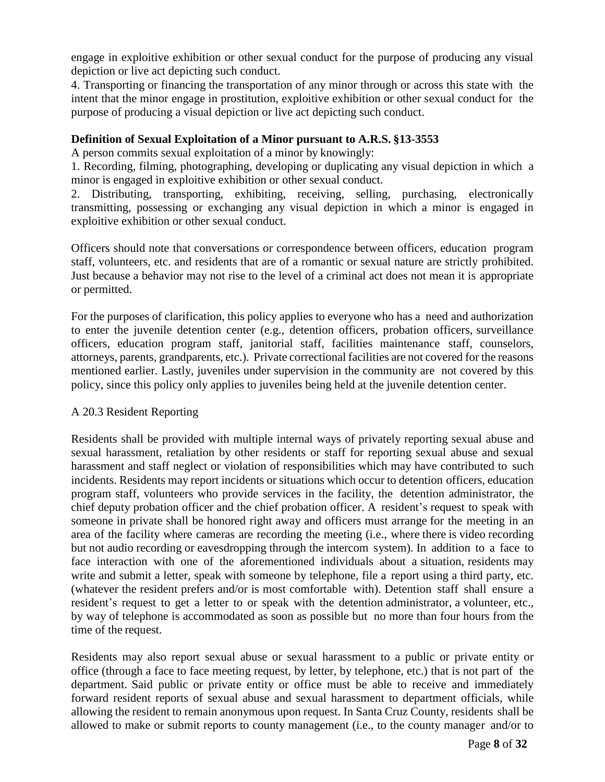engage in exploitive exhibition or other sexual conduct for the purpose of producing any visual depiction or live act depicting such conduct.

4. Transporting or financing the transportation of any minor through or across this state with the intent that the minor engage in prostitution, exploitive exhibition or other sexual conduct for the purpose of producing a visual depiction or live act depicting such conduct.

## **Definition of Sexual Exploitation of a Minor pursuant to A.R.S. §13-3553**

A person commits sexual exploitation of a minor by knowingly:

1. Recording, filming, photographing, developing or duplicating any visual depiction in which a minor is engaged in exploitive exhibition or other sexual conduct.

2. Distributing, transporting, exhibiting, receiving, selling, purchasing, electronically transmitting, possessing or exchanging any visual depiction in which a minor is engaged in exploitive exhibition or other sexual conduct.

Officers should note that conversations or correspondence between officers, education program staff, volunteers, etc. and residents that are of a romantic or sexual nature are strictly prohibited. Just because a behavior may not rise to the level of a criminal act does not mean it is appropriate or permitted.

For the purposes of clarification, this policy applies to everyone who has a need and authorization to enter the juvenile detention center (e.g., detention officers, probation officers, surveillance officers, education program staff, janitorial staff, facilities maintenance staff, counselors, attorneys, parents, grandparents, etc.). Private correctional facilities are not covered for the reasons mentioned earlier. Lastly, juveniles under supervision in the community are not covered by this policy, since this policy only applies to juveniles being held at the juvenile detention center.

#### A 20.3 Resident Reporting

Residents shall be provided with multiple internal ways of privately reporting sexual abuse and sexual harassment, retaliation by other residents or staff for reporting sexual abuse and sexual harassment and staff neglect or violation of responsibilities which may have contributed to such incidents. Residents may report incidents or situations which occur to detention officers, education program staff, volunteers who provide services in the facility, the detention administrator, the chief deputy probation officer and the chief probation officer. A resident's request to speak with someone in private shall be honored right away and officers must arrange for the meeting in an area of the facility where cameras are recording the meeting (i.e., where there is video recording but not audio recording or eavesdropping through the intercom system). In addition to a face to face interaction with one of the aforementioned individuals about a situation, residents may write and submit a letter, speak with someone by telephone, file a report using a third party, etc. (whatever the resident prefers and/or is most comfortable with). Detention staff shall ensure a resident's request to get a letter to or speak with the detention administrator, a volunteer, etc., by way of telephone is accommodated as soon as possible but no more than four hours from the time of the request.

Residents may also report sexual abuse or sexual harassment to a public or private entity or office (through a face to face meeting request, by letter, by telephone, etc.) that is not part of the department. Said public or private entity or office must be able to receive and immediately forward resident reports of sexual abuse and sexual harassment to department officials, while allowing the resident to remain anonymous upon request. In Santa Cruz County, residents shall be allowed to make or submit reports to county management (i.e., to the county manager and/or to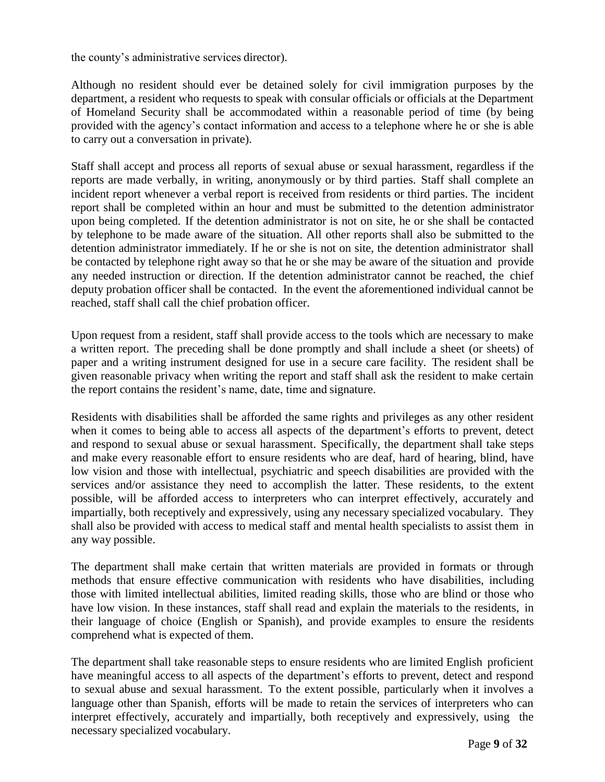the county's administrative services director).

Although no resident should ever be detained solely for civil immigration purposes by the department, a resident who requests to speak with consular officials or officials at the Department of Homeland Security shall be accommodated within a reasonable period of time (by being provided with the agency's contact information and access to a telephone where he or she is able to carry out a conversation in private).

Staff shall accept and process all reports of sexual abuse or sexual harassment, regardless if the reports are made verbally, in writing, anonymously or by third parties. Staff shall complete an incident report whenever a verbal report is received from residents or third parties. The incident report shall be completed within an hour and must be submitted to the detention administrator upon being completed. If the detention administrator is not on site, he or she shall be contacted by telephone to be made aware of the situation. All other reports shall also be submitted to the detention administrator immediately. If he or she is not on site, the detention administrator shall be contacted by telephone right away so that he or she may be aware of the situation and provide any needed instruction or direction. If the detention administrator cannot be reached, the chief deputy probation officer shall be contacted. In the event the aforementioned individual cannot be reached, staff shall call the chief probation officer.

Upon request from a resident, staff shall provide access to the tools which are necessary to make a written report. The preceding shall be done promptly and shall include a sheet (or sheets) of paper and a writing instrument designed for use in a secure care facility. The resident shall be given reasonable privacy when writing the report and staff shall ask the resident to make certain the report contains the resident's name, date, time and signature.

Residents with disabilities shall be afforded the same rights and privileges as any other resident when it comes to being able to access all aspects of the department's efforts to prevent, detect and respond to sexual abuse or sexual harassment. Specifically, the department shall take steps and make every reasonable effort to ensure residents who are deaf, hard of hearing, blind, have low vision and those with intellectual, psychiatric and speech disabilities are provided with the services and/or assistance they need to accomplish the latter. These residents, to the extent possible, will be afforded access to interpreters who can interpret effectively, accurately and impartially, both receptively and expressively, using any necessary specialized vocabulary. They shall also be provided with access to medical staff and mental health specialists to assist them in any way possible.

The department shall make certain that written materials are provided in formats or through methods that ensure effective communication with residents who have disabilities, including those with limited intellectual abilities, limited reading skills, those who are blind or those who have low vision. In these instances, staff shall read and explain the materials to the residents, in their language of choice (English or Spanish), and provide examples to ensure the residents comprehend what is expected of them.

The department shall take reasonable steps to ensure residents who are limited English proficient have meaningful access to all aspects of the department's efforts to prevent, detect and respond to sexual abuse and sexual harassment. To the extent possible, particularly when it involves a language other than Spanish, efforts will be made to retain the services of interpreters who can interpret effectively, accurately and impartially, both receptively and expressively, using the necessary specialized vocabulary.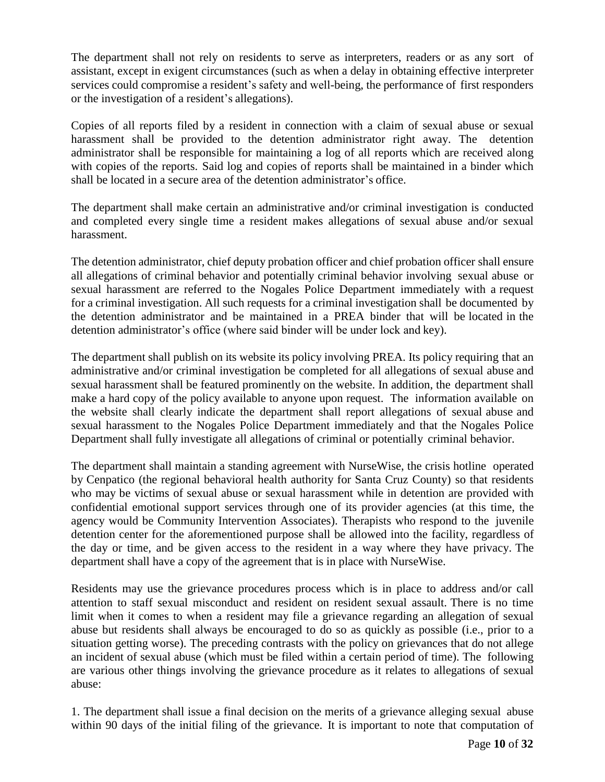The department shall not rely on residents to serve as interpreters, readers or as any sort of assistant, except in exigent circumstances (such as when a delay in obtaining effective interpreter services could compromise a resident's safety and well-being, the performance of first responders or the investigation of a resident's allegations).

Copies of all reports filed by a resident in connection with a claim of sexual abuse or sexual harassment shall be provided to the detention administrator right away. The detention administrator shall be responsible for maintaining a log of all reports which are received along with copies of the reports. Said log and copies of reports shall be maintained in a binder which shall be located in a secure area of the detention administrator's office.

The department shall make certain an administrative and/or criminal investigation is conducted and completed every single time a resident makes allegations of sexual abuse and/or sexual harassment.

The detention administrator, chief deputy probation officer and chief probation officer shall ensure all allegations of criminal behavior and potentially criminal behavior involving sexual abuse or sexual harassment are referred to the Nogales Police Department immediately with a request for a criminal investigation. All such requests for a criminal investigation shall be documented by the detention administrator and be maintained in a PREA binder that will be located in the detention administrator's office (where said binder will be under lock and key).

The department shall publish on its website its policy involving PREA. Its policy requiring that an administrative and/or criminal investigation be completed for all allegations of sexual abuse and sexual harassment shall be featured prominently on the website. In addition, the department shall make a hard copy of the policy available to anyone upon request. The information available on the website shall clearly indicate the department shall report allegations of sexual abuse and sexual harassment to the Nogales Police Department immediately and that the Nogales Police Department shall fully investigate all allegations of criminal or potentially criminal behavior.

The department shall maintain a standing agreement with NurseWise, the crisis hotline operated by Cenpatico (the regional behavioral health authority for Santa Cruz County) so that residents who may be victims of sexual abuse or sexual harassment while in detention are provided with confidential emotional support services through one of its provider agencies (at this time, the agency would be Community Intervention Associates). Therapists who respond to the juvenile detention center for the aforementioned purpose shall be allowed into the facility, regardless of the day or time, and be given access to the resident in a way where they have privacy. The department shall have a copy of the agreement that is in place with NurseWise.

Residents may use the grievance procedures process which is in place to address and/or call attention to staff sexual misconduct and resident on resident sexual assault. There is no time limit when it comes to when a resident may file a grievance regarding an allegation of sexual abuse but residents shall always be encouraged to do so as quickly as possible (i.e., prior to a situation getting worse). The preceding contrasts with the policy on grievances that do not allege an incident of sexual abuse (which must be filed within a certain period of time). The following are various other things involving the grievance procedure as it relates to allegations of sexual abuse:

1. The department shall issue a final decision on the merits of a grievance alleging sexual abuse within 90 days of the initial filing of the grievance. It is important to note that computation of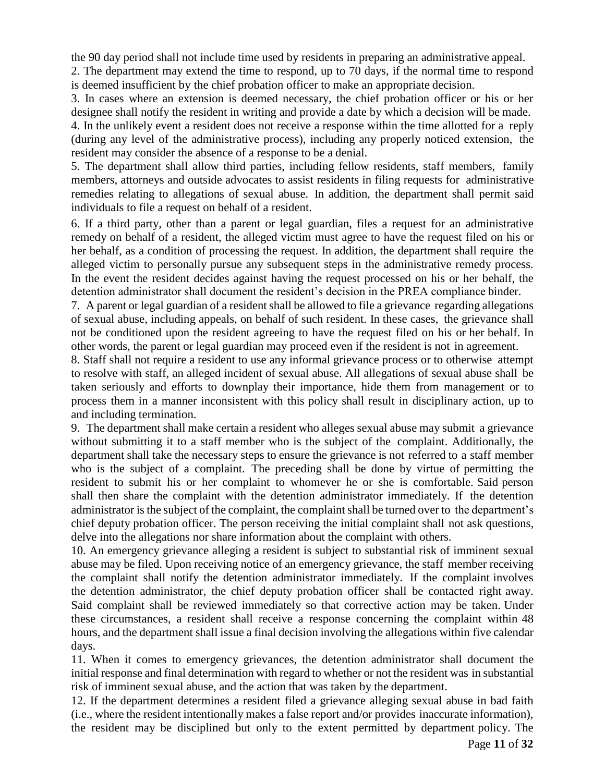the 90 day period shall not include time used by residents in preparing an administrative appeal.

2. The department may extend the time to respond, up to 70 days, if the normal time to respond is deemed insufficient by the chief probation officer to make an appropriate decision.

3. In cases where an extension is deemed necessary, the chief probation officer or his or her designee shall notify the resident in writing and provide a date by which a decision will be made.

4. In the unlikely event a resident does not receive a response within the time allotted for a reply (during any level of the administrative process), including any properly noticed extension, the resident may consider the absence of a response to be a denial.

5. The department shall allow third parties, including fellow residents, staff members, family members, attorneys and outside advocates to assist residents in filing requests for administrative remedies relating to allegations of sexual abuse. In addition, the department shall permit said individuals to file a request on behalf of a resident.

6. If a third party, other than a parent or legal guardian, files a request for an administrative remedy on behalf of a resident, the alleged victim must agree to have the request filed on his or her behalf, as a condition of processing the request. In addition, the department shall require the alleged victim to personally pursue any subsequent steps in the administrative remedy process. In the event the resident decides against having the request processed on his or her behalf, the detention administrator shall document the resident's decision in the PREA compliance binder.

7. A parent or legal guardian of a resident shall be allowed to file a grievance regarding allegations of sexual abuse, including appeals, on behalf of such resident. In these cases, the grievance shall not be conditioned upon the resident agreeing to have the request filed on his or her behalf. In other words, the parent or legal guardian may proceed even if the resident is not in agreement.

8. Staff shall not require a resident to use any informal grievance process or to otherwise attempt to resolve with staff, an alleged incident of sexual abuse. All allegations of sexual abuse shall be taken seriously and efforts to downplay their importance, hide them from management or to process them in a manner inconsistent with this policy shall result in disciplinary action, up to and including termination.

9. The department shall make certain a resident who alleges sexual abuse may submit a grievance without submitting it to a staff member who is the subject of the complaint. Additionally, the department shall take the necessary steps to ensure the grievance is not referred to a staff member who is the subject of a complaint. The preceding shall be done by virtue of permitting the resident to submit his or her complaint to whomever he or she is comfortable. Said person shall then share the complaint with the detention administrator immediately. If the detention administrator is the subject of the complaint, the complaint shall be turned over to the department's chief deputy probation officer. The person receiving the initial complaint shall not ask questions, delve into the allegations nor share information about the complaint with others.

10. An emergency grievance alleging a resident is subject to substantial risk of imminent sexual abuse may be filed. Upon receiving notice of an emergency grievance, the staff member receiving the complaint shall notify the detention administrator immediately. If the complaint involves the detention administrator, the chief deputy probation officer shall be contacted right away. Said complaint shall be reviewed immediately so that corrective action may be taken. Under these circumstances, a resident shall receive a response concerning the complaint within 48 hours, and the department shall issue a final decision involving the allegations within five calendar days.

11. When it comes to emergency grievances, the detention administrator shall document the initial response and final determination with regard to whether or not the resident was in substantial risk of imminent sexual abuse, and the action that was taken by the department.

12. If the department determines a resident filed a grievance alleging sexual abuse in bad faith (i.e., where the resident intentionally makes a false report and/or provides inaccurate information), the resident may be disciplined but only to the extent permitted by department policy. The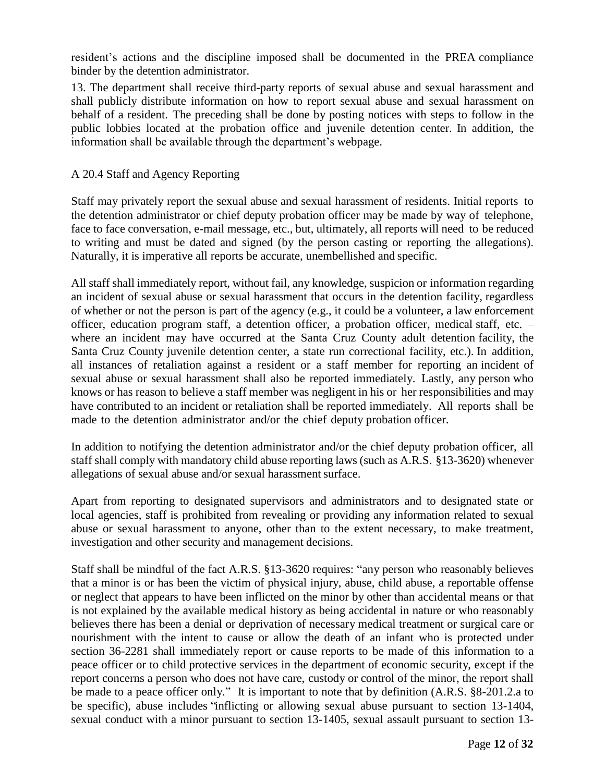resident's actions and the discipline imposed shall be documented in the PREA compliance binder by the detention administrator.

13. The department shall receive third-party reports of sexual abuse and sexual harassment and shall publicly distribute information on how to report sexual abuse and sexual harassment on behalf of a resident. The preceding shall be done by posting notices with steps to follow in the public lobbies located at the probation office and juvenile detention center. In addition, the information shall be available through the department's webpage.

## A 20.4 Staff and Agency Reporting

Staff may privately report the sexual abuse and sexual harassment of residents. Initial reports to the detention administrator or chief deputy probation officer may be made by way of telephone, face to face conversation, e-mail message, etc., but, ultimately, all reports will need to be reduced to writing and must be dated and signed (by the person casting or reporting the allegations). Naturally, it is imperative all reports be accurate, unembellished and specific.

All staff shall immediately report, without fail, any knowledge, suspicion or information regarding an incident of sexual abuse or sexual harassment that occurs in the detention facility, regardless of whether or not the person is part of the agency (e.g., it could be a volunteer, a law enforcement officer, education program staff, a detention officer, a probation officer, medical staff, etc. – where an incident may have occurred at the Santa Cruz County adult detention facility, the Santa Cruz County juvenile detention center, a state run correctional facility, etc.). In addition, all instances of retaliation against a resident or a staff member for reporting an incident of sexual abuse or sexual harassment shall also be reported immediately. Lastly, any person who knows or has reason to believe a staff member was negligent in his or her responsibilities and may have contributed to an incident or retaliation shall be reported immediately. All reports shall be made to the detention administrator and/or the chief deputy probation officer.

In addition to notifying the detention administrator and/or the chief deputy probation officer, all staff shall comply with mandatory child abuse reporting laws (such as A.R.S. §13-3620) whenever allegations of sexual abuse and/or sexual harassment surface.

Apart from reporting to designated supervisors and administrators and to designated state or local agencies, staff is prohibited from revealing or providing any information related to sexual abuse or sexual harassment to anyone, other than to the extent necessary, to make treatment, investigation and other security and management decisions.

Staff shall be mindful of the fact A.R.S. §13-3620 requires: "any person who reasonably believes that a minor is or has been the victim of physical injury, abuse, child abuse, a reportable offense or neglect that appears to have been inflicted on the minor by other than accidental means or that is not explained by the available medical history as being accidental in nature or who reasonably believes there has been a denial or deprivation of necessary medical treatment or surgical care or nourishment with the intent to cause or allow the death of an infant who is protected under section 36-2281 shall immediately report or cause reports to be made of this information to a peace officer or to child protective services in the department of economic security, except if the report concerns a person who does not have care, custody or control of the minor, the report shall be made to a peace officer only." It is important to note that by definition (A.R.S. §8-201.2.a to be specific), abuse includes 'inflicting or allowing sexual abuse pursuant to section 13-1404, sexual conduct with a minor pursuant to section 13-1405, sexual assault pursuant to section 13-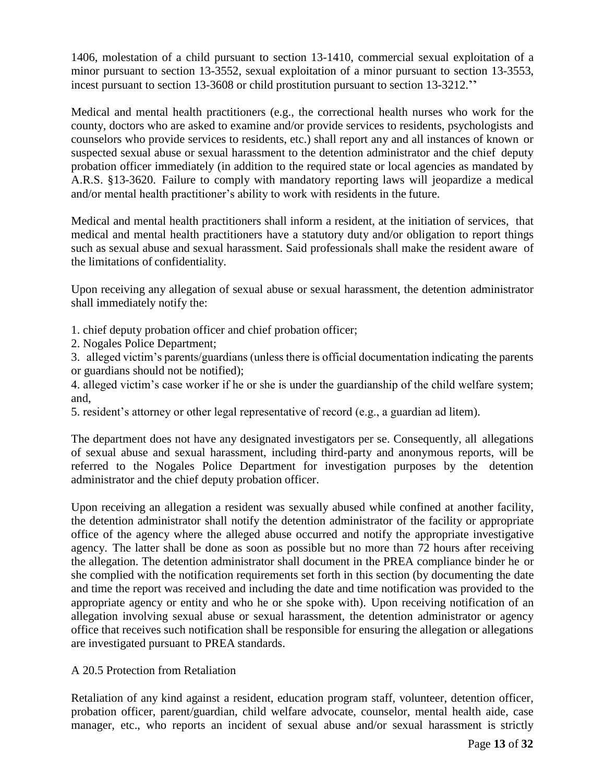1406, molestation of a child pursuant to section 13-1410, commercial sexual exploitation of a minor pursuant to section 13-3552, sexual exploitation of a minor pursuant to section 13-3553, incest pursuant to section 13-3608 or child prostitution pursuant to section 13-3212."

Medical and mental health practitioners (e.g., the correctional health nurses who work for the county, doctors who are asked to examine and/or provide services to residents, psychologists and counselors who provide services to residents, etc.) shall report any and all instances of known or suspected sexual abuse or sexual harassment to the detention administrator and the chief deputy probation officer immediately (in addition to the required state or local agencies as mandated by A.R.S. §13-3620. Failure to comply with mandatory reporting laws will jeopardize a medical and/or mental health practitioner's ability to work with residents in the future.

Medical and mental health practitioners shall inform a resident, at the initiation of services, that medical and mental health practitioners have a statutory duty and/or obligation to report things such as sexual abuse and sexual harassment. Said professionals shall make the resident aware of the limitations of confidentiality.

Upon receiving any allegation of sexual abuse or sexual harassment, the detention administrator shall immediately notify the:

- 1. chief deputy probation officer and chief probation officer;
- 2. Nogales Police Department;

3. alleged victim's parents/guardians (unless there is official documentation indicating the parents or guardians should not be notified);

4. alleged victim's case worker if he or she is under the guardianship of the child welfare system; and,

5. resident's attorney or other legal representative of record (e.g., a guardian ad litem).

The department does not have any designated investigators per se. Consequently, all allegations of sexual abuse and sexual harassment, including third-party and anonymous reports, will be referred to the Nogales Police Department for investigation purposes by the detention administrator and the chief deputy probation officer.

Upon receiving an allegation a resident was sexually abused while confined at another facility, the detention administrator shall notify the detention administrator of the facility or appropriate office of the agency where the alleged abuse occurred and notify the appropriate investigative agency. The latter shall be done as soon as possible but no more than 72 hours after receiving the allegation. The detention administrator shall document in the PREA compliance binder he or she complied with the notification requirements set forth in this section (by documenting the date and time the report was received and including the date and time notification was provided to the appropriate agency or entity and who he or she spoke with). Upon receiving notification of an allegation involving sexual abuse or sexual harassment, the detention administrator or agency office that receives such notification shall be responsible for ensuring the allegation or allegations are investigated pursuant to PREA standards.

# A 20.5 Protection from Retaliation

Retaliation of any kind against a resident, education program staff, volunteer, detention officer, probation officer, parent/guardian, child welfare advocate, counselor, mental health aide, case manager, etc., who reports an incident of sexual abuse and/or sexual harassment is strictly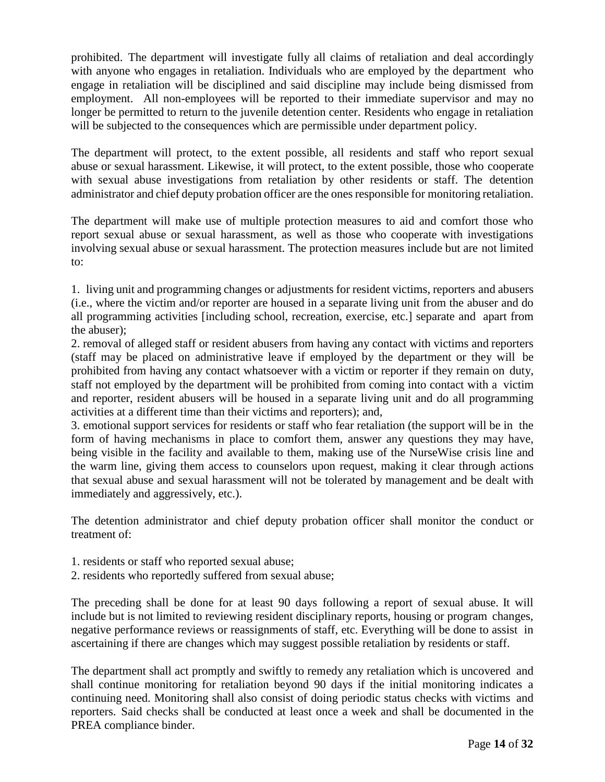prohibited. The department will investigate fully all claims of retaliation and deal accordingly with anyone who engages in retaliation. Individuals who are employed by the department who engage in retaliation will be disciplined and said discipline may include being dismissed from employment. All non-employees will be reported to their immediate supervisor and may no longer be permitted to return to the juvenile detention center. Residents who engage in retaliation will be subjected to the consequences which are permissible under department policy.

The department will protect, to the extent possible, all residents and staff who report sexual abuse or sexual harassment. Likewise, it will protect, to the extent possible, those who cooperate with sexual abuse investigations from retaliation by other residents or staff. The detention administrator and chief deputy probation officer are the ones responsible for monitoring retaliation.

The department will make use of multiple protection measures to aid and comfort those who report sexual abuse or sexual harassment, as well as those who cooperate with investigations involving sexual abuse or sexual harassment. The protection measures include but are not limited to:

1. living unit and programming changes or adjustments for resident victims, reporters and abusers (i.e., where the victim and/or reporter are housed in a separate living unit from the abuser and do all programming activities [including school, recreation, exercise, etc.] separate and apart from the abuser);

2. removal of alleged staff or resident abusers from having any contact with victims and reporters (staff may be placed on administrative leave if employed by the department or they will be prohibited from having any contact whatsoever with a victim or reporter if they remain on duty, staff not employed by the department will be prohibited from coming into contact with a victim and reporter, resident abusers will be housed in a separate living unit and do all programming activities at a different time than their victims and reporters); and,

3. emotional support services for residents or staff who fear retaliation (the support will be in the form of having mechanisms in place to comfort them, answer any questions they may have, being visible in the facility and available to them, making use of the NurseWise crisis line and the warm line, giving them access to counselors upon request, making it clear through actions that sexual abuse and sexual harassment will not be tolerated by management and be dealt with immediately and aggressively, etc.).

The detention administrator and chief deputy probation officer shall monitor the conduct or treatment of:

- 1. residents or staff who reported sexual abuse;
- 2. residents who reportedly suffered from sexual abuse;

The preceding shall be done for at least 90 days following a report of sexual abuse. It will include but is not limited to reviewing resident disciplinary reports, housing or program changes, negative performance reviews or reassignments of staff, etc. Everything will be done to assist in ascertaining if there are changes which may suggest possible retaliation by residents or staff.

The department shall act promptly and swiftly to remedy any retaliation which is uncovered and shall continue monitoring for retaliation beyond 90 days if the initial monitoring indicates a continuing need. Monitoring shall also consist of doing periodic status checks with victims and reporters. Said checks shall be conducted at least once a week and shall be documented in the PREA compliance binder.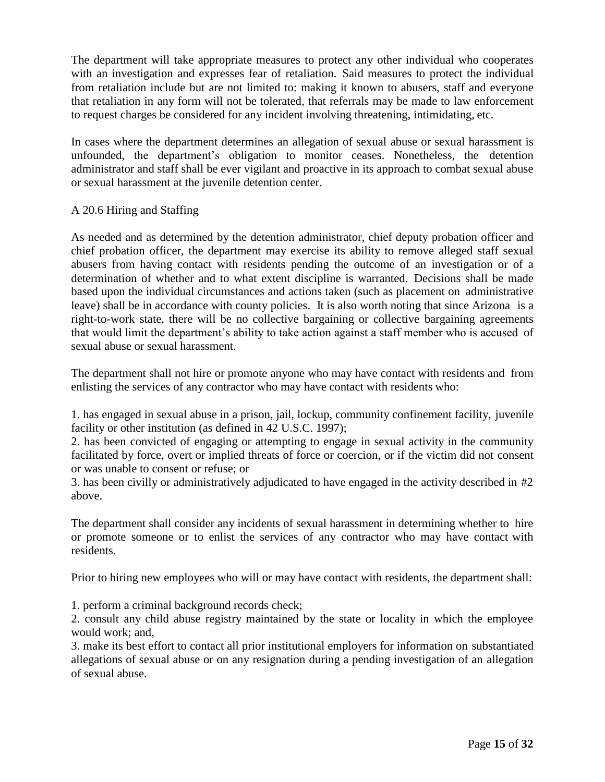The department will take appropriate measures to protect any other individual who cooperates with an investigation and expresses fear of retaliation. Said measures to protect the individual from retaliation include but are not limited to: making it known to abusers, staff and everyone that retaliation in any form will not be tolerated, that referrals may be made to law enforcement to request charges be considered for any incident involving threatening, intimidating, etc.

In cases where the department determines an allegation of sexual abuse or sexual harassment is unfounded, the department's obligation to monitor ceases. Nonetheless, the detention administrator and staff shall be ever vigilant and proactive in its approach to combat sexual abuse or sexual harassment at the juvenile detention center.

#### A 20.6 Hiring and Staffing

As needed and as determined by the detention administrator, chief deputy probation officer and chief probation officer, the department may exercise its ability to remove alleged staff sexual abusers from having contact with residents pending the outcome of an investigation or of a determination of whether and to what extent discipline is warranted. Decisions shall be made based upon the individual circumstances and actions taken (such as placement on administrative leave) shall be in accordance with county policies. It is also worth noting that since Arizona is a right-to-work state, there will be no collective bargaining or collective bargaining agreements that would limit the department's ability to take action against a staff member who is accused of sexual abuse or sexual harassment.

The department shall not hire or promote anyone who may have contact with residents and from enlisting the services of any contractor who may have contact with residents who:

1. has engaged in sexual abuse in a prison, jail, lockup, community confinement facility, juvenile facility or other institution (as defined in 42 U.S.C. 1997);

2. has been convicted of engaging or attempting to engage in sexual activity in the community facilitated by force, overt or implied threats of force or coercion, or if the victim did not consent or was unable to consent or refuse; or

3. has been civilly or administratively adjudicated to have engaged in the activity described in #2 above.

The department shall consider any incidents of sexual harassment in determining whether to hire or promote someone or to enlist the services of any contractor who may have contact with residents.

Prior to hiring new employees who will or may have contact with residents, the department shall:

1. perform a criminal background records check;

2. consult any child abuse registry maintained by the state or locality in which the employee would work; and,

3. make its best effort to contact all prior institutional employers for information on substantiated allegations of sexual abuse or on any resignation during a pending investigation of an allegation of sexual abuse.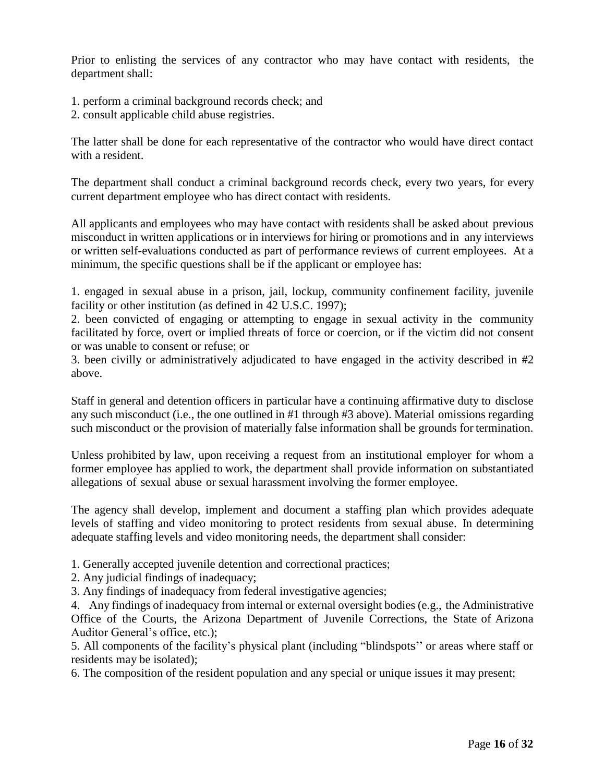Prior to enlisting the services of any contractor who may have contact with residents, the department shall:

- 1. perform a criminal background records check; and
- 2. consult applicable child abuse registries.

The latter shall be done for each representative of the contractor who would have direct contact with a resident.

The department shall conduct a criminal background records check, every two years, for every current department employee who has direct contact with residents.

All applicants and employees who may have contact with residents shall be asked about previous misconduct in written applications or in interviews for hiring or promotions and in any interviews or written self-evaluations conducted as part of performance reviews of current employees. At a minimum, the specific questions shall be if the applicant or employee has:

1. engaged in sexual abuse in a prison, jail, lockup, community confinement facility, juvenile facility or other institution (as defined in 42 U.S.C. 1997);

2. been convicted of engaging or attempting to engage in sexual activity in the community facilitated by force, overt or implied threats of force or coercion, or if the victim did not consent or was unable to consent or refuse; or

3. been civilly or administratively adjudicated to have engaged in the activity described in #2 above.

Staff in general and detention officers in particular have a continuing affirmative duty to disclose any such misconduct (i.e., the one outlined in #1 through #3 above). Material omissions regarding such misconduct or the provision of materially false information shall be grounds for termination.

Unless prohibited by law, upon receiving a request from an institutional employer for whom a former employee has applied to work, the department shall provide information on substantiated allegations of sexual abuse or sexual harassment involving the former employee.

The agency shall develop, implement and document a staffing plan which provides adequate levels of staffing and video monitoring to protect residents from sexual abuse. In determining adequate staffing levels and video monitoring needs, the department shall consider:

1. Generally accepted juvenile detention and correctional practices;

2. Any judicial findings of inadequacy;

3. Any findings of inadequacy from federal investigative agencies;

4. Any findings of inadequacy from internal or external oversight bodies (e.g., the Administrative Office of the Courts, the Arizona Department of Juvenile Corrections, the State of Arizona Auditor General's office, etc.);

5. All components of the facility's physical plant (including "blindspots" or areas where staff or residents may be isolated);

6. The composition of the resident population and any special or unique issues it may present;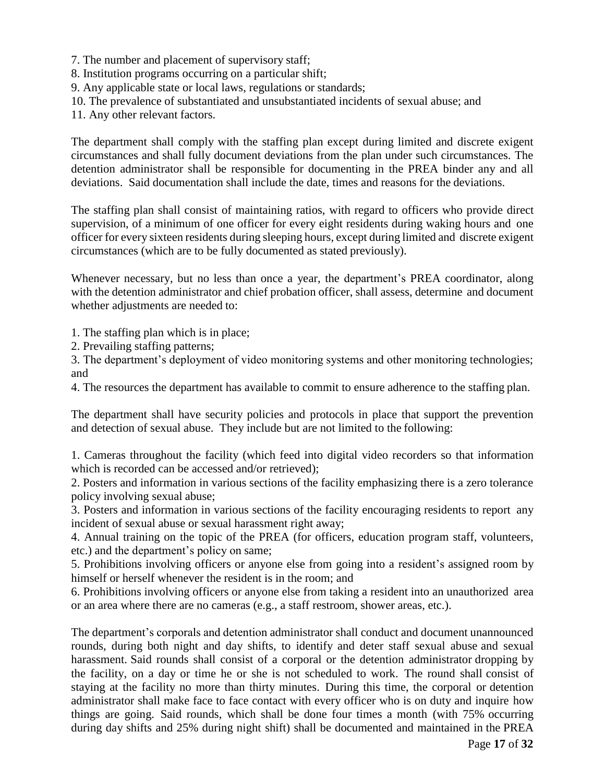- 7. The number and placement of supervisory staff;
- 8. Institution programs occurring on a particular shift;
- 9. Any applicable state or local laws, regulations or standards;
- 10. The prevalence of substantiated and unsubstantiated incidents of sexual abuse; and

11. Any other relevant factors.

The department shall comply with the staffing plan except during limited and discrete exigent circumstances and shall fully document deviations from the plan under such circumstances. The detention administrator shall be responsible for documenting in the PREA binder any and all deviations. Said documentation shall include the date, times and reasons for the deviations.

The staffing plan shall consist of maintaining ratios, with regard to officers who provide direct supervision, of a minimum of one officer for every eight residents during waking hours and one officer for every sixteen residents during sleeping hours, except during limited and discrete exigent circumstances (which are to be fully documented as stated previously).

Whenever necessary, but no less than once a year, the department's PREA coordinator, along with the detention administrator and chief probation officer, shall assess, determine and document whether adjustments are needed to:

1. The staffing plan which is in place;

2. Prevailing staffing patterns;

3. The department's deployment of video monitoring systems and other monitoring technologies; and

4. The resources the department has available to commit to ensure adherence to the staffing plan.

The department shall have security policies and protocols in place that support the prevention and detection of sexual abuse. They include but are not limited to the following:

1. Cameras throughout the facility (which feed into digital video recorders so that information which is recorded can be accessed and/or retrieved);

2. Posters and information in various sections of the facility emphasizing there is a zero tolerance policy involving sexual abuse;

3. Posters and information in various sections of the facility encouraging residents to report any incident of sexual abuse or sexual harassment right away;

4. Annual training on the topic of the PREA (for officers, education program staff, volunteers, etc.) and the department's policy on same;

5. Prohibitions involving officers or anyone else from going into a resident's assigned room by himself or herself whenever the resident is in the room; and

6. Prohibitions involving officers or anyone else from taking a resident into an unauthorized area or an area where there are no cameras (e.g., a staff restroom, shower areas, etc.).

The department's corporals and detention administrator shall conduct and document unannounced rounds, during both night and day shifts, to identify and deter staff sexual abuse and sexual harassment. Said rounds shall consist of a corporal or the detention administrator dropping by the facility, on a day or time he or she is not scheduled to work. The round shall consist of staying at the facility no more than thirty minutes. During this time, the corporal or detention administrator shall make face to face contact with every officer who is on duty and inquire how things are going. Said rounds, which shall be done four times a month (with 75% occurring during day shifts and 25% during night shift) shall be documented and maintained in the PREA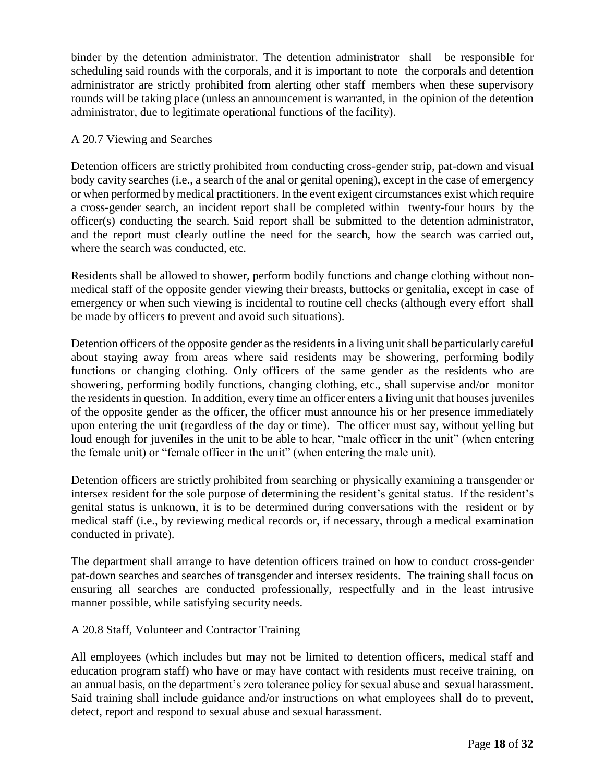binder by the detention administrator. The detention administrator shall be responsible for scheduling said rounds with the corporals, and it is important to note the corporals and detention administrator are strictly prohibited from alerting other staff members when these supervisory rounds will be taking place (unless an announcement is warranted, in the opinion of the detention administrator, due to legitimate operational functions of the facility).

### A 20.7 Viewing and Searches

Detention officers are strictly prohibited from conducting cross-gender strip, pat-down and visual body cavity searches (i.e., a search of the anal or genital opening), except in the case of emergency or when performed by medical practitioners. In the event exigent circumstances exist which require a cross-gender search, an incident report shall be completed within twenty-four hours by the officer(s) conducting the search. Said report shall be submitted to the detention administrator, and the report must clearly outline the need for the search, how the search was carried out, where the search was conducted, etc.

Residents shall be allowed to shower, perform bodily functions and change clothing without nonmedical staff of the opposite gender viewing their breasts, buttocks or genitalia, except in case of emergency or when such viewing is incidental to routine cell checks (although every effort shall be made by officers to prevent and avoid such situations).

Detention officers of the opposite gender as the residents in a living unit shall be particularly careful about staying away from areas where said residents may be showering, performing bodily functions or changing clothing. Only officers of the same gender as the residents who are showering, performing bodily functions, changing clothing, etc., shall supervise and/or monitor the residents in question. In addition, every time an officer enters a living unit that houses juveniles of the opposite gender as the officer, the officer must announce his or her presence immediately upon entering the unit (regardless of the day or time). The officer must say, without yelling but loud enough for juveniles in the unit to be able to hear, "male officer in the unit" (when entering the female unit) or "female officer in the unit" (when entering the male unit).

Detention officers are strictly prohibited from searching or physically examining a transgender or intersex resident for the sole purpose of determining the resident's genital status. If the resident's genital status is unknown, it is to be determined during conversations with the resident or by medical staff (i.e., by reviewing medical records or, if necessary, through a medical examination conducted in private).

The department shall arrange to have detention officers trained on how to conduct cross-gender pat-down searches and searches of transgender and intersex residents. The training shall focus on ensuring all searches are conducted professionally, respectfully and in the least intrusive manner possible, while satisfying security needs.

# A 20.8 Staff, Volunteer and Contractor Training

All employees (which includes but may not be limited to detention officers, medical staff and education program staff) who have or may have contact with residents must receive training, on an annual basis, on the department's zero tolerance policy for sexual abuse and sexual harassment. Said training shall include guidance and/or instructions on what employees shall do to prevent, detect, report and respond to sexual abuse and sexual harassment.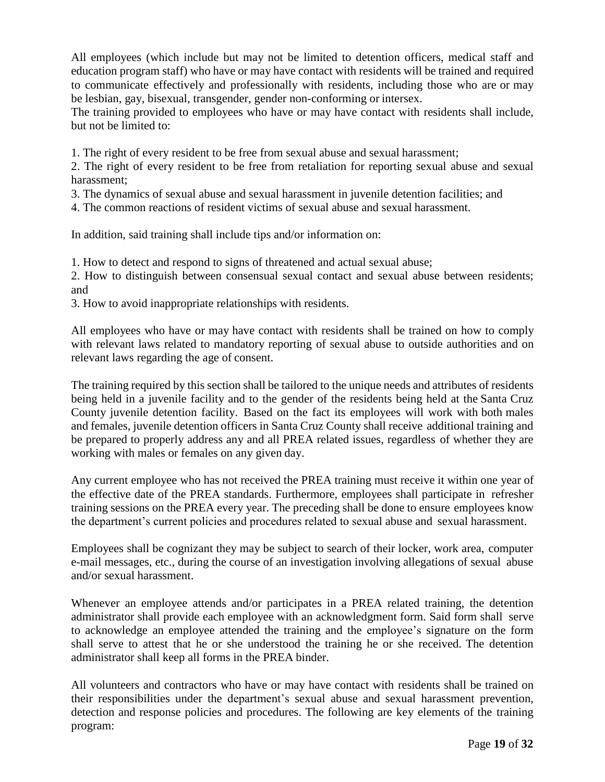All employees (which include but may not be limited to detention officers, medical staff and education program staff) who have or may have contact with residents will be trained and required to communicate effectively and professionally with residents, including those who are or may be lesbian, gay, bisexual, transgender, gender non-conforming or intersex.

The training provided to employees who have or may have contact with residents shall include, but not be limited to:

1. The right of every resident to be free from sexual abuse and sexual harassment;

2. The right of every resident to be free from retaliation for reporting sexual abuse and sexual harassment;

3. The dynamics of sexual abuse and sexual harassment in juvenile detention facilities; and

4. The common reactions of resident victims of sexual abuse and sexual harassment.

In addition, said training shall include tips and/or information on:

1. How to detect and respond to signs of threatened and actual sexual abuse;

2. How to distinguish between consensual sexual contact and sexual abuse between residents; and

3. How to avoid inappropriate relationships with residents.

All employees who have or may have contact with residents shall be trained on how to comply with relevant laws related to mandatory reporting of sexual abuse to outside authorities and on relevant laws regarding the age of consent.

The training required by this section shall be tailored to the unique needs and attributes of residents being held in a juvenile facility and to the gender of the residents being held at the Santa Cruz County juvenile detention facility. Based on the fact its employees will work with both males and females, juvenile detention officers in Santa Cruz County shall receive additional training and be prepared to properly address any and all PREA related issues, regardless of whether they are working with males or females on any given day.

Any current employee who has not received the PREA training must receive it within one year of the effective date of the PREA standards. Furthermore, employees shall participate in refresher training sessions on the PREA every year. The preceding shall be done to ensure employees know the department's current policies and procedures related to sexual abuse and sexual harassment.

Employees shall be cognizant they may be subject to search of their locker, work area, computer e-mail messages, etc., during the course of an investigation involving allegations of sexual abuse and/or sexual harassment.

Whenever an employee attends and/or participates in a PREA related training, the detention administrator shall provide each employee with an acknowledgment form. Said form shall serve to acknowledge an employee attended the training and the employee's signature on the form shall serve to attest that he or she understood the training he or she received. The detention administrator shall keep all forms in the PREA binder.

All volunteers and contractors who have or may have contact with residents shall be trained on their responsibilities under the department's sexual abuse and sexual harassment prevention, detection and response policies and procedures. The following are key elements of the training program: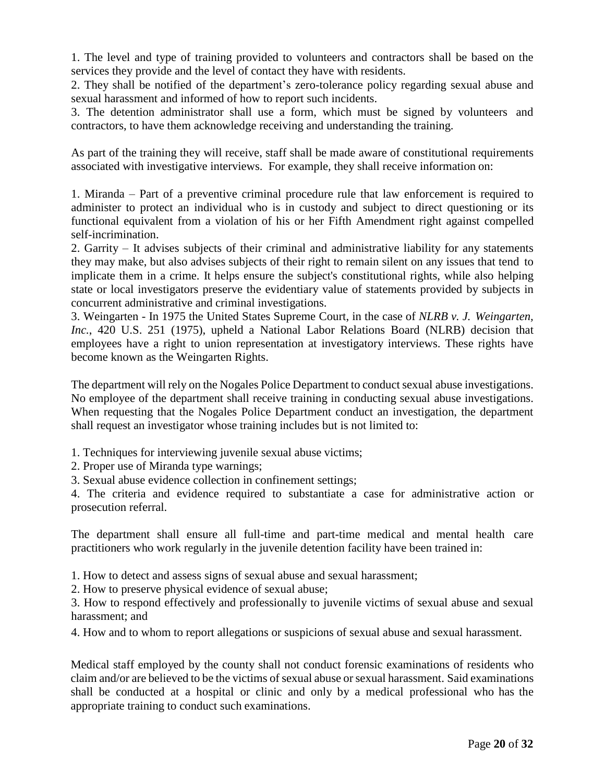1. The level and type of training provided to volunteers and contractors shall be based on the services they provide and the level of contact they have with residents.

2. They shall be notified of the department's zero-tolerance policy regarding sexual abuse and sexual harassment and informed of how to report such incidents.

3. The detention administrator shall use a form, which must be signed by volunteers and contractors, to have them acknowledge receiving and understanding the training.

As part of the training they will receive, staff shall be made aware of constitutional requirements associated with investigative interviews. For example, they shall receive information on:

1. Miranda – Part of a preventive criminal procedure rule that law enforcement is required to administer to protect an individual who is in custody and subject to direct questioning or its functional equivalent from a violation of his or her Fifth [Amendment](https://en.wikipedia.org/wiki/Fifth_Amendment_to_the_United_States_Constitution) right against compelled self-incrimination.

2. Garrity – It advises subjects of their criminal and administrative [liability](http://en.wikipedia.org/wiki/Legal_liability) for any statements they may make, but also advises subjects of their [right to remain silent](http://en.wikipedia.org/wiki/Right_to_remain_silent) on any issues that tend to implicate them in a crime. It helps ensure the subject's constitutional rights, while also helping state or local investigators preserve the evidentiary value of statements provided by subjects in concurrent administrative and criminal investigations.

3. Weingarten - In 1975 the [United States Supreme Court,](http://en.wikipedia.org/wiki/Supreme_Court_of_the_United_States) in the case of *NLRB v. J. [Weingarten,](http://en.wikipedia.org/wiki/NLRB_v._J._Weingarten%2C_Inc) [Inc.](http://en.wikipedia.org/wiki/NLRB_v._J._Weingarten%2C_Inc)*, 420 [U.S.](http://en.wikipedia.org/wiki/United_States_Reports) [251](https://supreme.justia.com/us/420/251/case.html) (1975), upheld a National Labor [Relations](http://en.wikipedia.org/wiki/National_Labor_Relations_Board) Board (NLRB) decision that employees have a right to union representation at investigatory interviews. These rights have become known as the Weingarten Rights.

The department will rely on the Nogales Police Department to conduct sexual abuse investigations. No employee of the department shall receive training in conducting sexual abuse investigations. When requesting that the Nogales Police Department conduct an investigation, the department shall request an investigator whose training includes but is not limited to:

- 1. Techniques for interviewing juvenile sexual abuse victims;
- 2. Proper use of Miranda type warnings;
- 3. Sexual abuse evidence collection in confinement settings;

4. The criteria and evidence required to substantiate a case for administrative action or prosecution referral.

The department shall ensure all full-time and part-time medical and mental health care practitioners who work regularly in the juvenile detention facility have been trained in:

1. How to detect and assess signs of sexual abuse and sexual harassment;

2. How to preserve physical evidence of sexual abuse;

3. How to respond effectively and professionally to juvenile victims of sexual abuse and sexual harassment; and

4. How and to whom to report allegations or suspicions of sexual abuse and sexual harassment.

Medical staff employed by the county shall not conduct forensic examinations of residents who claim and/or are believed to be the victims of sexual abuse or sexual harassment. Said examinations shall be conducted at a hospital or clinic and only by a medical professional who has the appropriate training to conduct such examinations.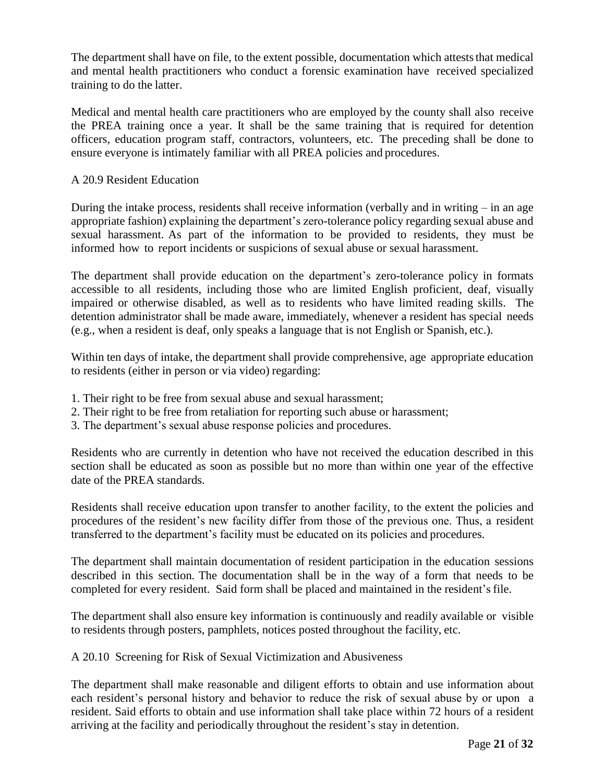The department shall have on file, to the extent possible, documentation which attests that medical and mental health practitioners who conduct a forensic examination have received specialized training to do the latter.

Medical and mental health care practitioners who are employed by the county shall also receive the PREA training once a year. It shall be the same training that is required for detention officers, education program staff, contractors, volunteers, etc. The preceding shall be done to ensure everyone is intimately familiar with all PREA policies and procedures.

## A 20.9 Resident Education

During the intake process, residents shall receive information (verbally and in writing  $-$  in an age appropriate fashion) explaining the department's zero-tolerance policy regarding sexual abuse and sexual harassment. As part of the information to be provided to residents, they must be informed how to report incidents or suspicions of sexual abuse or sexual harassment.

The department shall provide education on the department's zero-tolerance policy in formats accessible to all residents, including those who are limited English proficient, deaf, visually impaired or otherwise disabled, as well as to residents who have limited reading skills. The detention administrator shall be made aware, immediately, whenever a resident has special needs (e.g., when a resident is deaf, only speaks a language that is not English or Spanish, etc.).

Within ten days of intake, the department shall provide comprehensive, age appropriate education to residents (either in person or via video) regarding:

- 1. Their right to be free from sexual abuse and sexual harassment;
- 2. Their right to be free from retaliation for reporting such abuse or harassment;
- 3. The department's sexual abuse response policies and procedures.

Residents who are currently in detention who have not received the education described in this section shall be educated as soon as possible but no more than within one year of the effective date of the PREA standards.

Residents shall receive education upon transfer to another facility, to the extent the policies and procedures of the resident's new facility differ from those of the previous one. Thus, a resident transferred to the department's facility must be educated on its policies and procedures.

The department shall maintain documentation of resident participation in the education sessions described in this section. The documentation shall be in the way of a form that needs to be completed for every resident. Said form shall be placed and maintained in the resident's file.

The department shall also ensure key information is continuously and readily available or visible to residents through posters, pamphlets, notices posted throughout the facility, etc.

A 20.10 Screening for Risk of Sexual Victimization and Abusiveness

The department shall make reasonable and diligent efforts to obtain and use information about each resident's personal history and behavior to reduce the risk of sexual abuse by or upon a resident. Said efforts to obtain and use information shall take place within 72 hours of a resident arriving at the facility and periodically throughout the resident's stay in detention.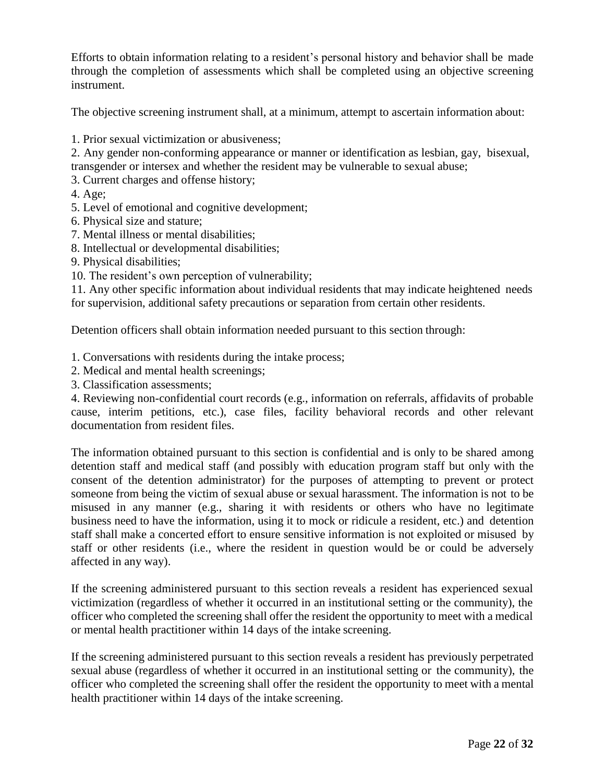Efforts to obtain information relating to a resident's personal history and behavior shall be made through the completion of assessments which shall be completed using an objective screening instrument.

The objective screening instrument shall, at a minimum, attempt to ascertain information about:

1. Prior sexual victimization or abusiveness;

2. Any gender non-conforming appearance or manner or identification as lesbian, gay, bisexual, transgender or intersex and whether the resident may be vulnerable to sexual abuse;

- 3. Current charges and offense history;
- 4. Age;
- 5. Level of emotional and cognitive development;
- 6. Physical size and stature;
- 7. Mental illness or mental disabilities;
- 8. Intellectual or developmental disabilities;
- 9. Physical disabilities;
- 10. The resident's own perception of vulnerability;

11. Any other specific information about individual residents that may indicate heightened needs for supervision, additional safety precautions or separation from certain other residents.

Detention officers shall obtain information needed pursuant to this section through:

1. Conversations with residents during the intake process;

- 2. Medical and mental health screenings;
- 3. Classification assessments;

4. Reviewing non-confidential court records (e.g., information on referrals, affidavits of probable cause, interim petitions, etc.), case files, facility behavioral records and other relevant documentation from resident files.

The information obtained pursuant to this section is confidential and is only to be shared among detention staff and medical staff (and possibly with education program staff but only with the consent of the detention administrator) for the purposes of attempting to prevent or protect someone from being the victim of sexual abuse or sexual harassment. The information is not to be misused in any manner (e.g., sharing it with residents or others who have no legitimate business need to have the information, using it to mock or ridicule a resident, etc.) and detention staff shall make a concerted effort to ensure sensitive information is not exploited or misused by staff or other residents (i.e., where the resident in question would be or could be adversely affected in any way).

If the screening administered pursuant to this section reveals a resident has experienced sexual victimization (regardless of whether it occurred in an institutional setting or the community), the officer who completed the screening shall offer the resident the opportunity to meet with a medical or mental health practitioner within 14 days of the intake screening.

If the screening administered pursuant to this section reveals a resident has previously perpetrated sexual abuse (regardless of whether it occurred in an institutional setting or the community), the officer who completed the screening shall offer the resident the opportunity to meet with a mental health practitioner within 14 days of the intake screening.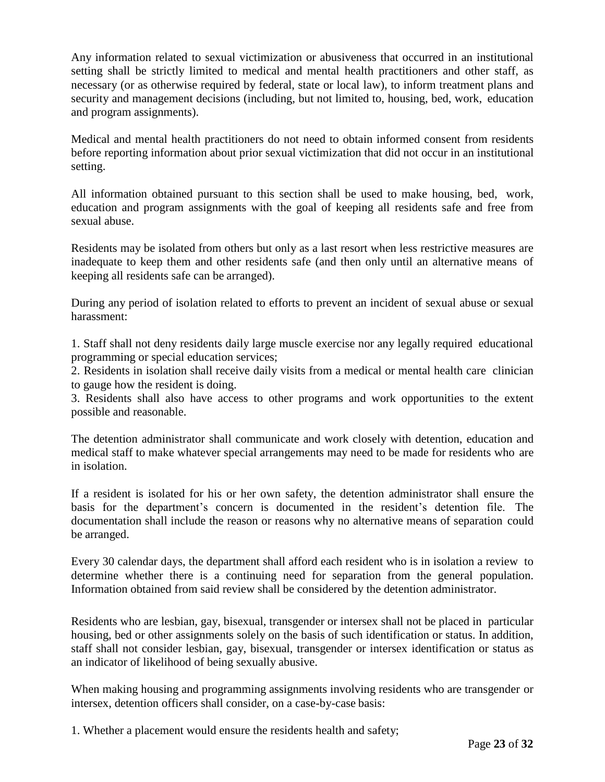Any information related to sexual victimization or abusiveness that occurred in an institutional setting shall be strictly limited to medical and mental health practitioners and other staff, as necessary (or as otherwise required by federal, state or local law), to inform treatment plans and security and management decisions (including, but not limited to, housing, bed, work, education and program assignments).

Medical and mental health practitioners do not need to obtain informed consent from residents before reporting information about prior sexual victimization that did not occur in an institutional setting.

All information obtained pursuant to this section shall be used to make housing, bed, work, education and program assignments with the goal of keeping all residents safe and free from sexual abuse.

Residents may be isolated from others but only as a last resort when less restrictive measures are inadequate to keep them and other residents safe (and then only until an alternative means of keeping all residents safe can be arranged).

During any period of isolation related to efforts to prevent an incident of sexual abuse or sexual harassment:

1. Staff shall not deny residents daily large muscle exercise nor any legally required educational programming or special education services;

2. Residents in isolation shall receive daily visits from a medical or mental health care clinician to gauge how the resident is doing.

3. Residents shall also have access to other programs and work opportunities to the extent possible and reasonable.

The detention administrator shall communicate and work closely with detention, education and medical staff to make whatever special arrangements may need to be made for residents who are in isolation.

If a resident is isolated for his or her own safety, the detention administrator shall ensure the basis for the department's concern is documented in the resident's detention file. The documentation shall include the reason or reasons why no alternative means of separation could be arranged.

Every 30 calendar days, the department shall afford each resident who is in isolation a review to determine whether there is a continuing need for separation from the general population. Information obtained from said review shall be considered by the detention administrator.

Residents who are lesbian, gay, bisexual, transgender or intersex shall not be placed in particular housing, bed or other assignments solely on the basis of such identification or status. In addition, staff shall not consider lesbian, gay, bisexual, transgender or intersex identification or status as an indicator of likelihood of being sexually abusive.

When making housing and programming assignments involving residents who are transgender or intersex, detention officers shall consider, on a case-by-case basis:

1. Whether a placement would ensure the residents health and safety;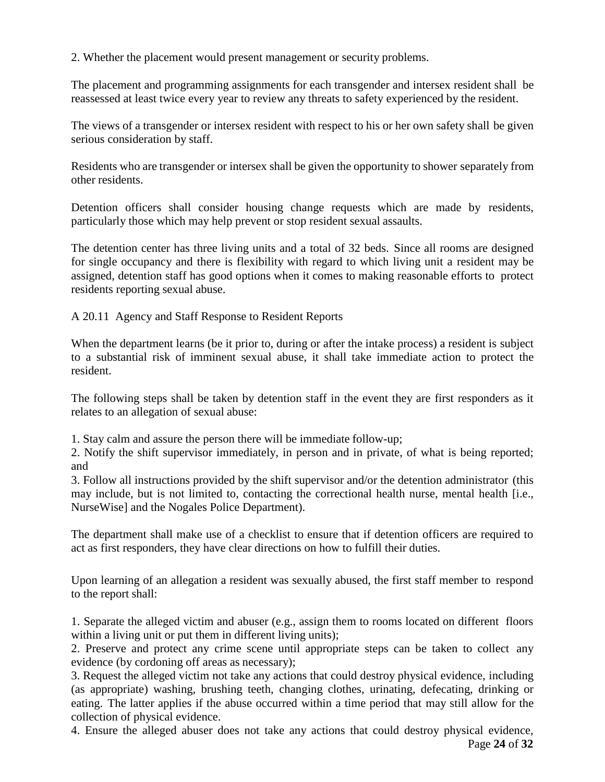2. Whether the placement would present management or security problems.

The placement and programming assignments for each transgender and intersex resident shall be reassessed at least twice every year to review any threats to safety experienced by the resident.

The views of a transgender or intersex resident with respect to his or her own safety shall be given serious consideration by staff.

Residents who are transgender or intersex shall be given the opportunity to shower separately from other residents.

Detention officers shall consider housing change requests which are made by residents, particularly those which may help prevent or stop resident sexual assaults.

The detention center has three living units and a total of 32 beds. Since all rooms are designed for single occupancy and there is flexibility with regard to which living unit a resident may be assigned, detention staff has good options when it comes to making reasonable efforts to protect residents reporting sexual abuse.

A 20.11 Agency and Staff Response to Resident Reports

When the department learns (be it prior to, during or after the intake process) a resident is subject to a substantial risk of imminent sexual abuse, it shall take immediate action to protect the resident.

The following steps shall be taken by detention staff in the event they are first responders as it relates to an allegation of sexual abuse:

1. Stay calm and assure the person there will be immediate follow-up;

2. Notify the shift supervisor immediately, in person and in private, of what is being reported; and

3. Follow all instructions provided by the shift supervisor and/or the detention administrator (this may include, but is not limited to, contacting the correctional health nurse, mental health [i.e., NurseWise] and the Nogales Police Department).

The department shall make use of a checklist to ensure that if detention officers are required to act as first responders, they have clear directions on how to fulfill their duties.

Upon learning of an allegation a resident was sexually abused, the first staff member to respond to the report shall:

1. Separate the alleged victim and abuser (e.g., assign them to rooms located on different floors within a living unit or put them in different living units);

2. Preserve and protect any crime scene until appropriate steps can be taken to collect any evidence (by cordoning off areas as necessary);

3. Request the alleged victim not take any actions that could destroy physical evidence, including (as appropriate) washing, brushing teeth, changing clothes, urinating, defecating, drinking or eating. The latter applies if the abuse occurred within a time period that may still allow for the collection of physical evidence.

Page **24** of **32** 4. Ensure the alleged abuser does not take any actions that could destroy physical evidence,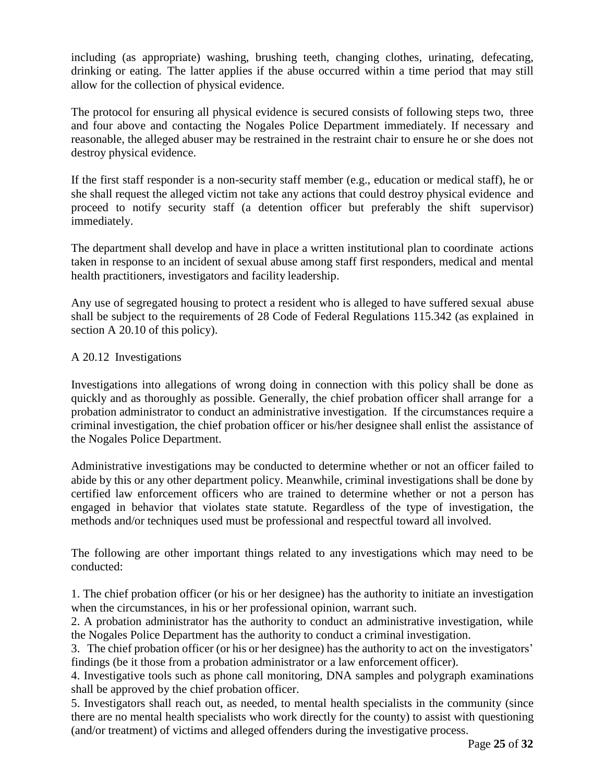including (as appropriate) washing, brushing teeth, changing clothes, urinating, defecating, drinking or eating. The latter applies if the abuse occurred within a time period that may still allow for the collection of physical evidence.

The protocol for ensuring all physical evidence is secured consists of following steps two, three and four above and contacting the Nogales Police Department immediately. If necessary and reasonable, the alleged abuser may be restrained in the restraint chair to ensure he or she does not destroy physical evidence.

If the first staff responder is a non-security staff member (e.g., education or medical staff), he or she shall request the alleged victim not take any actions that could destroy physical evidence and proceed to notify security staff (a detention officer but preferably the shift supervisor) immediately.

The department shall develop and have in place a written institutional plan to coordinate actions taken in response to an incident of sexual abuse among staff first responders, medical and mental health practitioners, investigators and facility leadership.

Any use of segregated housing to protect a resident who is alleged to have suffered sexual abuse shall be subject to the requirements of 28 Code of Federal Regulations 115.342 (as explained in section A 20.10 of this policy).

## A 20.12 Investigations

Investigations into allegations of wrong doing in connection with this policy shall be done as quickly and as thoroughly as possible. Generally, the chief probation officer shall arrange for a probation administrator to conduct an administrative investigation. If the circumstances require a criminal investigation, the chief probation officer or his/her designee shall enlist the assistance of the Nogales Police Department.

Administrative investigations may be conducted to determine whether or not an officer failed to abide by this or any other department policy. Meanwhile, criminal investigations shall be done by certified law enforcement officers who are trained to determine whether or not a person has engaged in behavior that violates state statute. Regardless of the type of investigation, the methods and/or techniques used must be professional and respectful toward all involved.

The following are other important things related to any investigations which may need to be conducted:

1. The chief probation officer (or his or her designee) has the authority to initiate an investigation when the circumstances, in his or her professional opinion, warrant such.

2. A probation administrator has the authority to conduct an administrative investigation, while the Nogales Police Department has the authority to conduct a criminal investigation.

3. The chief probation officer (or his or her designee) has the authority to act on the investigators' findings (be it those from a probation administrator or a law enforcement officer).

4. Investigative tools such as phone call monitoring, DNA samples and polygraph examinations shall be approved by the chief probation officer.

5. Investigators shall reach out, as needed, to mental health specialists in the community (since there are no mental health specialists who work directly for the county) to assist with questioning (and/or treatment) of victims and alleged offenders during the investigative process.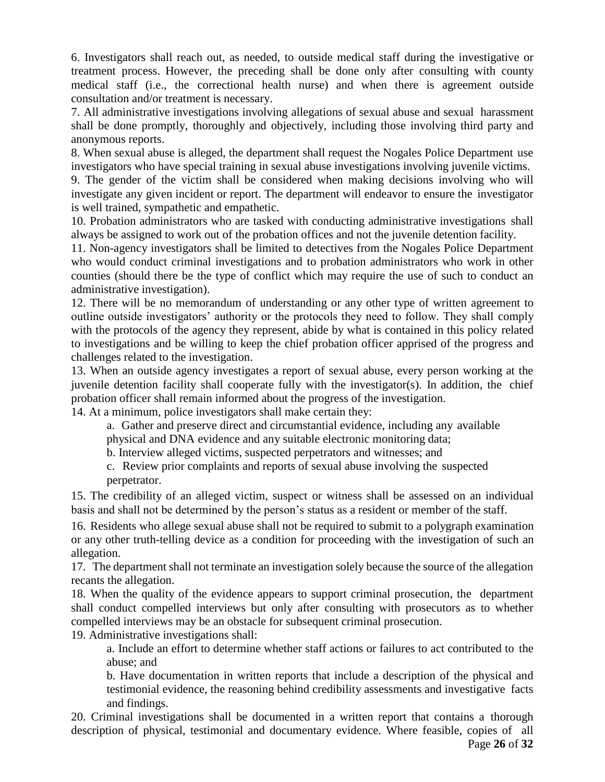6. Investigators shall reach out, as needed, to outside medical staff during the investigative or treatment process. However, the preceding shall be done only after consulting with county medical staff (i.e., the correctional health nurse) and when there is agreement outside consultation and/or treatment is necessary.

7. All administrative investigations involving allegations of sexual abuse and sexual harassment shall be done promptly, thoroughly and objectively, including those involving third party and anonymous reports.

8. When sexual abuse is alleged, the department shall request the Nogales Police Department use investigators who have special training in sexual abuse investigations involving juvenile victims.

9. The gender of the victim shall be considered when making decisions involving who will investigate any given incident or report. The department will endeavor to ensure the investigator is well trained, sympathetic and empathetic.

10. Probation administrators who are tasked with conducting administrative investigations shall always be assigned to work out of the probation offices and not the juvenile detention facility.

11. Non-agency investigators shall be limited to detectives from the Nogales Police Department who would conduct criminal investigations and to probation administrators who work in other counties (should there be the type of conflict which may require the use of such to conduct an administrative investigation).

12. There will be no memorandum of understanding or any other type of written agreement to outline outside investigators' authority or the protocols they need to follow. They shall comply with the protocols of the agency they represent, abide by what is contained in this policy related to investigations and be willing to keep the chief probation officer apprised of the progress and challenges related to the investigation.

13. When an outside agency investigates a report of sexual abuse, every person working at the juvenile detention facility shall cooperate fully with the investigator(s). In addition, the chief probation officer shall remain informed about the progress of the investigation.

14. At a minimum, police investigators shall make certain they:

a. Gather and preserve direct and circumstantial evidence, including any available

physical and DNA evidence and any suitable electronic monitoring data;

b. Interview alleged victims, suspected perpetrators and witnesses; and

c. Review prior complaints and reports of sexual abuse involving the suspected perpetrator.

15. The credibility of an alleged victim, suspect or witness shall be assessed on an individual basis and shall not be determined by the person's status as a resident or member of the staff.

16. Residents who allege sexual abuse shall not be required to submit to a polygraph examination or any other truth-telling device as a condition for proceeding with the investigation of such an allegation.

17. The department shall not terminate an investigation solely because the source of the allegation recants the allegation.

18. When the quality of the evidence appears to support criminal prosecution, the department shall conduct compelled interviews but only after consulting with prosecutors as to whether compelled interviews may be an obstacle for subsequent criminal prosecution.

19. Administrative investigations shall:

a. Include an effort to determine whether staff actions or failures to act contributed to the abuse; and

b. Have documentation in written reports that include a description of the physical and testimonial evidence, the reasoning behind credibility assessments and investigative facts and findings.

20. Criminal investigations shall be documented in a written report that contains a thorough description of physical, testimonial and documentary evidence. Where feasible, copies of all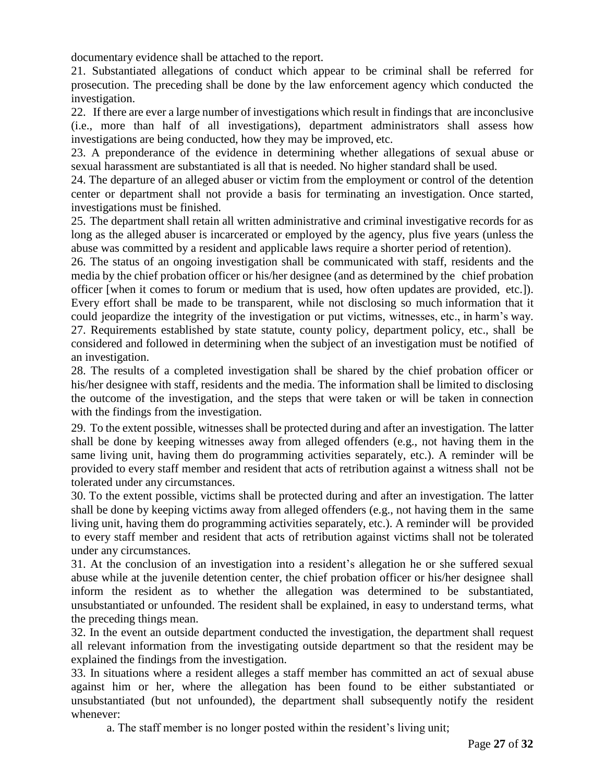documentary evidence shall be attached to the report.

21. Substantiated allegations of conduct which appear to be criminal shall be referred for prosecution. The preceding shall be done by the law enforcement agency which conducted the investigation.

22. If there are ever a large number of investigations which result in findings that are inconclusive (i.e., more than half of all investigations), department administrators shall assess how investigations are being conducted, how they may be improved, etc.

23. A preponderance of the evidence in determining whether allegations of sexual abuse or sexual harassment are substantiated is all that is needed. No higher standard shall be used.

24. The departure of an alleged abuser or victim from the employment or control of the detention center or department shall not provide a basis for terminating an investigation. Once started, investigations must be finished.

25. The department shall retain all written administrative and criminal investigative records for as long as the alleged abuser is incarcerated or employed by the agency, plus five years (unless the abuse was committed by a resident and applicable laws require a shorter period of retention).

26. The status of an ongoing investigation shall be communicated with staff, residents and the media by the chief probation officer or his/her designee (and as determined by the chief probation officer [when it comes to forum or medium that is used, how often updates are provided, etc.]). Every effort shall be made to be transparent, while not disclosing so much information that it could jeopardize the integrity of the investigation or put victims, witnesses, etc., in harm's way. 27. Requirements established by state statute, county policy, department policy, etc., shall be considered and followed in determining when the subject of an investigation must be notified of an investigation.

28. The results of a completed investigation shall be shared by the chief probation officer or his/her designee with staff, residents and the media. The information shall be limited to disclosing the outcome of the investigation, and the steps that were taken or will be taken in connection with the findings from the investigation.

29. To the extent possible, witnesses shall be protected during and after an investigation. The latter shall be done by keeping witnesses away from alleged offenders (e.g., not having them in the same living unit, having them do programming activities separately, etc.). A reminder will be provided to every staff member and resident that acts of retribution against a witness shall not be tolerated under any circumstances.

30. To the extent possible, victims shall be protected during and after an investigation. The latter shall be done by keeping victims away from alleged offenders (e.g., not having them in the same living unit, having them do programming activities separately, etc.). A reminder will be provided to every staff member and resident that acts of retribution against victims shall not be tolerated under any circumstances.

31. At the conclusion of an investigation into a resident's allegation he or she suffered sexual abuse while at the juvenile detention center, the chief probation officer or his/her designee shall inform the resident as to whether the allegation was determined to be substantiated, unsubstantiated or unfounded. The resident shall be explained, in easy to understand terms, what the preceding things mean.

32. In the event an outside department conducted the investigation, the department shall request all relevant information from the investigating outside department so that the resident may be explained the findings from the investigation.

33. In situations where a resident alleges a staff member has committed an act of sexual abuse against him or her, where the allegation has been found to be either substantiated or unsubstantiated (but not unfounded), the department shall subsequently notify the resident whenever:

a. The staff member is no longer posted within the resident's living unit;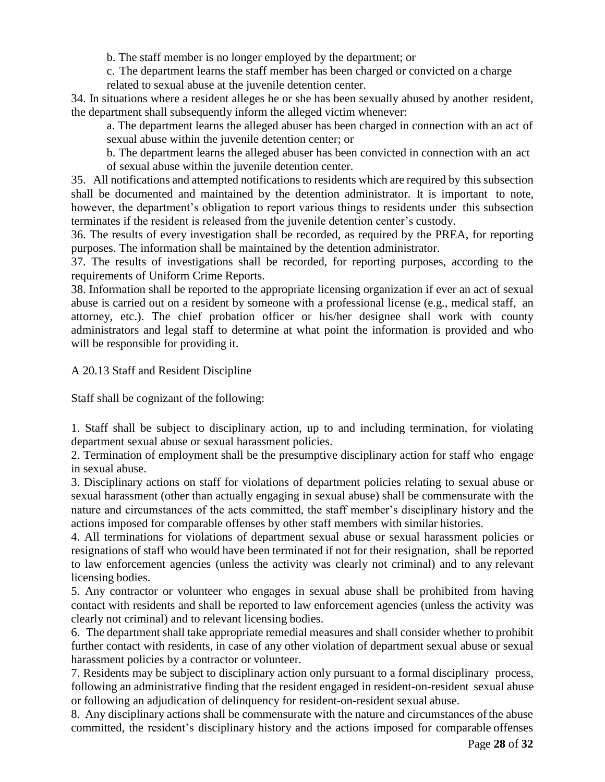b. The staff member is no longer employed by the department; or

c. The department learns the staff member has been charged or convicted on a charge related to sexual abuse at the juvenile detention center.

34. In situations where a resident alleges he or she has been sexually abused by another resident, the department shall subsequently inform the alleged victim whenever:

a. The department learns the alleged abuser has been charged in connection with an act of sexual abuse within the juvenile detention center; or

b. The department learns the alleged abuser has been convicted in connection with an act of sexual abuse within the juvenile detention center.

35. All notifications and attempted notifications to residents which are required by this subsection shall be documented and maintained by the detention administrator. It is important to note, however, the department's obligation to report various things to residents under this subsection terminates if the resident is released from the juvenile detention center's custody.

36. The results of every investigation shall be recorded, as required by the PREA, for reporting purposes. The information shall be maintained by the detention administrator.

37. The results of investigations shall be recorded, for reporting purposes, according to the requirements of Uniform Crime Reports.

38. Information shall be reported to the appropriate licensing organization if ever an act of sexual abuse is carried out on a resident by someone with a professional license (e.g., medical staff, an attorney, etc.). The chief probation officer or his/her designee shall work with county administrators and legal staff to determine at what point the information is provided and who will be responsible for providing it.

A 20.13 Staff and Resident Discipline

Staff shall be cognizant of the following:

1. Staff shall be subject to disciplinary action, up to and including termination, for violating department sexual abuse or sexual harassment policies.

2. Termination of employment shall be the presumptive disciplinary action for staff who engage in sexual abuse.

3. Disciplinary actions on staff for violations of department policies relating to sexual abuse or sexual harassment (other than actually engaging in sexual abuse) shall be commensurate with the nature and circumstances of the acts committed, the staff member's disciplinary history and the actions imposed for comparable offenses by other staff members with similar histories.

4. All terminations for violations of department sexual abuse or sexual harassment policies or resignations of staff who would have been terminated if not for their resignation, shall be reported to law enforcement agencies (unless the activity was clearly not criminal) and to any relevant licensing bodies.

5. Any contractor or volunteer who engages in sexual abuse shall be prohibited from having contact with residents and shall be reported to law enforcement agencies (unless the activity was clearly not criminal) and to relevant licensing bodies.

6. The department shall take appropriate remedial measures and shall consider whether to prohibit further contact with residents, in case of any other violation of department sexual abuse or sexual harassment policies by a contractor or volunteer.

7. Residents may be subject to disciplinary action only pursuant to a formal disciplinary process, following an administrative finding that the resident engaged in resident-on-resident sexual abuse or following an adjudication of delinquency for resident-on-resident sexual abuse.

8. Any disciplinary actions shall be commensurate with the nature and circumstances of the abuse committed, the resident's disciplinary history and the actions imposed for comparable offenses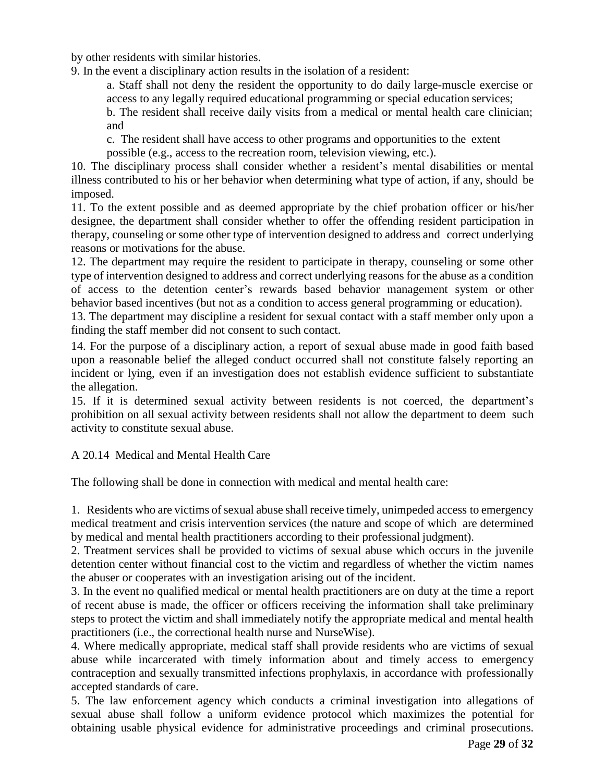by other residents with similar histories.

9. In the event a disciplinary action results in the isolation of a resident:

a. Staff shall not deny the resident the opportunity to do daily large-muscle exercise or access to any legally required educational programming or special education services;

b. The resident shall receive daily visits from a medical or mental health care clinician; and

c. The resident shall have access to other programs and opportunities to the extent

possible (e.g., access to the recreation room, television viewing, etc.).

10. The disciplinary process shall consider whether a resident's mental disabilities or mental illness contributed to his or her behavior when determining what type of action, if any, should be imposed.

11. To the extent possible and as deemed appropriate by the chief probation officer or his/her designee, the department shall consider whether to offer the offending resident participation in therapy, counseling or some other type of intervention designed to address and correct underlying reasons or motivations for the abuse.

12. The department may require the resident to participate in therapy, counseling or some other type of intervention designed to address and correct underlying reasons for the abuse as a condition of access to the detention center's rewards based behavior management system or other behavior based incentives (but not as a condition to access general programming or education).

13. The department may discipline a resident for sexual contact with a staff member only upon a finding the staff member did not consent to such contact.

14. For the purpose of a disciplinary action, a report of sexual abuse made in good faith based upon a reasonable belief the alleged conduct occurred shall not constitute falsely reporting an incident or lying, even if an investigation does not establish evidence sufficient to substantiate the allegation.

15. If it is determined sexual activity between residents is not coerced, the department's prohibition on all sexual activity between residents shall not allow the department to deem such activity to constitute sexual abuse.

# A 20.14 Medical and Mental Health Care

The following shall be done in connection with medical and mental health care:

1. Residents who are victims of sexual abuse shall receive timely, unimpeded access to emergency medical treatment and crisis intervention services (the nature and scope of which are determined by medical and mental health practitioners according to their professional judgment).

2. Treatment services shall be provided to victims of sexual abuse which occurs in the juvenile detention center without financial cost to the victim and regardless of whether the victim names the abuser or cooperates with an investigation arising out of the incident.

3. In the event no qualified medical or mental health practitioners are on duty at the time a report of recent abuse is made, the officer or officers receiving the information shall take preliminary steps to protect the victim and shall immediately notify the appropriate medical and mental health practitioners (i.e., the correctional health nurse and NurseWise).

4. Where medically appropriate, medical staff shall provide residents who are victims of sexual abuse while incarcerated with timely information about and timely access to emergency contraception and sexually transmitted infections prophylaxis, in accordance with professionally accepted standards of care.

5. The law enforcement agency which conducts a criminal investigation into allegations of sexual abuse shall follow a uniform evidence protocol which maximizes the potential for obtaining usable physical evidence for administrative proceedings and criminal prosecutions.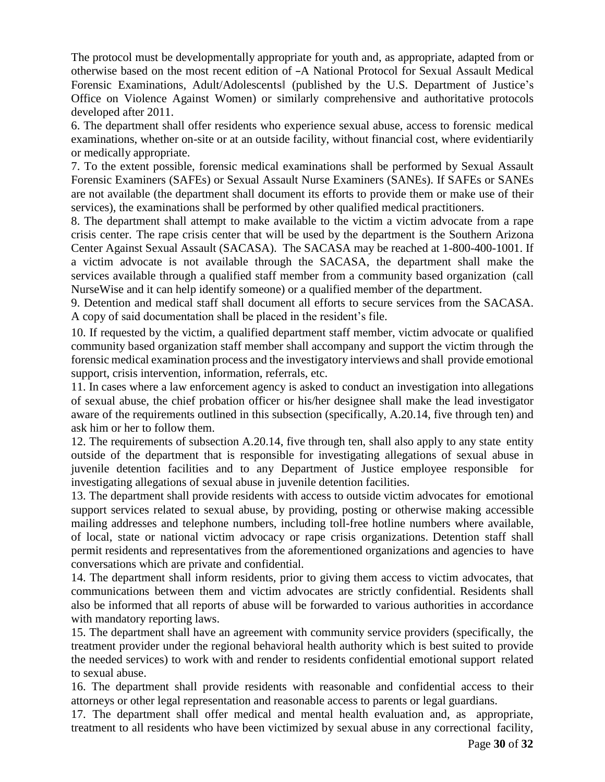The protocol must be developmentally appropriate for youth and, as appropriate, adapted from or otherwise based on the most recent edition of ―A National Protocol for Sexual Assault Medical Forensic Examinations, Adult/Adolescents‖ (published by the U.S. Department of Justice's Office on Violence Against Women) or similarly comprehensive and authoritative protocols developed after 2011.

6. The department shall offer residents who experience sexual abuse, access to forensic medical examinations, whether on-site or at an outside facility, without financial cost, where evidentiarily or medically appropriate.

7. To the extent possible, forensic medical examinations shall be performed by Sexual Assault Forensic Examiners (SAFEs) or Sexual Assault Nurse Examiners (SANEs). If SAFEs or SANEs are not available (the department shall document its efforts to provide them or make use of their services), the examinations shall be performed by other qualified medical practitioners.

8. The department shall attempt to make available to the victim a victim advocate from a rape crisis center. The rape crisis center that will be used by the department is the Southern Arizona Center Against Sexual Assault (SACASA). The SACASA may be reached at 1-800-400-1001. If a victim advocate is not available through the SACASA, the department shall make the services available through a qualified staff member from a community based organization (call NurseWise and it can help identify someone) or a qualified member of the department.

9. Detention and medical staff shall document all efforts to secure services from the SACASA. A copy of said documentation shall be placed in the resident's file.

10. If requested by the victim, a qualified department staff member, victim advocate or qualified community based organization staff member shall accompany and support the victim through the forensic medical examination process and the investigatory interviews and shall provide emotional support, crisis intervention, information, referrals, etc.

11. In cases where a law enforcement agency is asked to conduct an investigation into allegations of sexual abuse, the chief probation officer or his/her designee shall make the lead investigator aware of the requirements outlined in this subsection (specifically, A.20.14, five through ten) and ask him or her to follow them.

12. The requirements of subsection A.20.14, five through ten, shall also apply to any state entity outside of the department that is responsible for investigating allegations of sexual abuse in juvenile detention facilities and to any Department of Justice employee responsible for investigating allegations of sexual abuse in juvenile detention facilities.

13. The department shall provide residents with access to outside victim advocates for emotional support services related to sexual abuse, by providing, posting or otherwise making accessible mailing addresses and telephone numbers, including toll-free hotline numbers where available, of local, state or national victim advocacy or rape crisis organizations. Detention staff shall permit residents and representatives from the aforementioned organizations and agencies to have conversations which are private and confidential.

14. The department shall inform residents, prior to giving them access to victim advocates, that communications between them and victim advocates are strictly confidential. Residents shall also be informed that all reports of abuse will be forwarded to various authorities in accordance with mandatory reporting laws.

15. The department shall have an agreement with community service providers (specifically, the treatment provider under the regional behavioral health authority which is best suited to provide the needed services) to work with and render to residents confidential emotional support related to sexual abuse.

16. The department shall provide residents with reasonable and confidential access to their attorneys or other legal representation and reasonable access to parents or legal guardians.

17. The department shall offer medical and mental health evaluation and, as appropriate, treatment to all residents who have been victimized by sexual abuse in any correctional facility,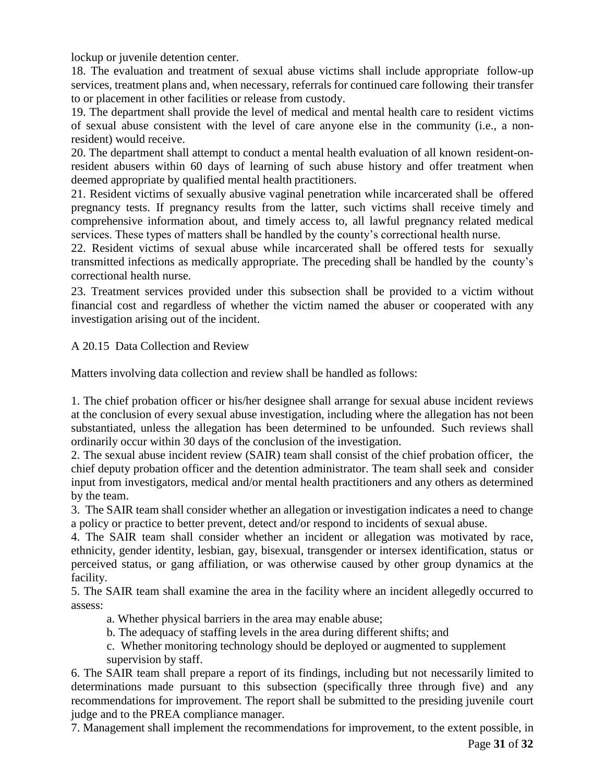lockup or juvenile detention center.

18. The evaluation and treatment of sexual abuse victims shall include appropriate follow-up services, treatment plans and, when necessary, referrals for continued care following their transfer to or placement in other facilities or release from custody.

19. The department shall provide the level of medical and mental health care to resident victims of sexual abuse consistent with the level of care anyone else in the community (i.e., a nonresident) would receive.

20. The department shall attempt to conduct a mental health evaluation of all known resident-onresident abusers within 60 days of learning of such abuse history and offer treatment when deemed appropriate by qualified mental health practitioners.

21. Resident victims of sexually abusive vaginal penetration while incarcerated shall be offered pregnancy tests. If pregnancy results from the latter, such victims shall receive timely and comprehensive information about, and timely access to, all lawful pregnancy related medical services. These types of matters shall be handled by the county's correctional health nurse.

22. Resident victims of sexual abuse while incarcerated shall be offered tests for sexually transmitted infections as medically appropriate. The preceding shall be handled by the county's correctional health nurse.

23. Treatment services provided under this subsection shall be provided to a victim without financial cost and regardless of whether the victim named the abuser or cooperated with any investigation arising out of the incident.

A 20.15 Data Collection and Review

Matters involving data collection and review shall be handled as follows:

1. The chief probation officer or his/her designee shall arrange for sexual abuse incident reviews at the conclusion of every sexual abuse investigation, including where the allegation has not been substantiated, unless the allegation has been determined to be unfounded. Such reviews shall ordinarily occur within 30 days of the conclusion of the investigation.

2. The sexual abuse incident review (SAIR) team shall consist of the chief probation officer, the chief deputy probation officer and the detention administrator. The team shall seek and consider input from investigators, medical and/or mental health practitioners and any others as determined by the team.

3. The SAIR team shall consider whether an allegation or investigation indicates a need to change a policy or practice to better prevent, detect and/or respond to incidents of sexual abuse.

4. The SAIR team shall consider whether an incident or allegation was motivated by race, ethnicity, gender identity, lesbian, gay, bisexual, transgender or intersex identification, status or perceived status, or gang affiliation, or was otherwise caused by other group dynamics at the facility.

5. The SAIR team shall examine the area in the facility where an incident allegedly occurred to assess:

- a. Whether physical barriers in the area may enable abuse;
- b. The adequacy of staffing levels in the area during different shifts; and
- c. Whether monitoring technology should be deployed or augmented to supplement supervision by staff.

6. The SAIR team shall prepare a report of its findings, including but not necessarily limited to determinations made pursuant to this subsection (specifically three through five) and any recommendations for improvement. The report shall be submitted to the presiding juvenile court judge and to the PREA compliance manager.

7. Management shall implement the recommendations for improvement, to the extent possible, in